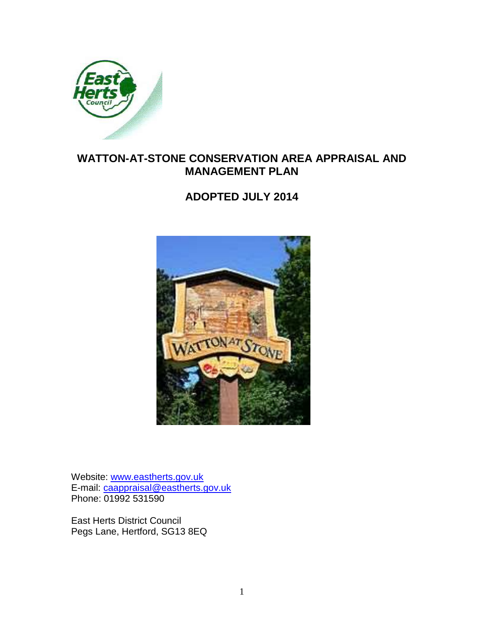

# **WATTON-AT-STONE CONSERVATION AREA APPRAISAL AND MANAGEMENT PLAN**

## **ADOPTED JULY 2014**



Website: www.eastherts.gov.uk E-mail: caappraisal@eastherts.gov.uk Phone: 01992 531590

East Herts District Council Pegs Lane, Hertford, SG13 8EQ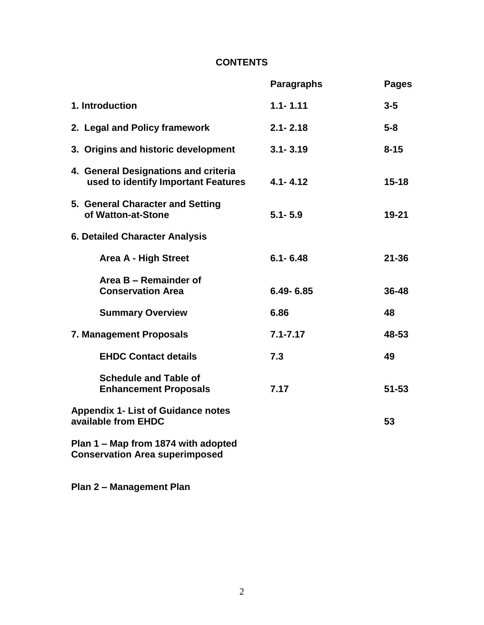## **CONTENTS**

|                                                                              | <b>Paragraphs</b> | <b>Pages</b> |  |
|------------------------------------------------------------------------------|-------------------|--------------|--|
| 1. Introduction                                                              | $1.1 - 1.11$      | $3 - 5$      |  |
| 2. Legal and Policy framework                                                | $2.1 - 2.18$      | $5-8$        |  |
| 3. Origins and historic development                                          | $3.1 - 3.19$      | $8 - 15$     |  |
| 4. General Designations and criteria<br>used to identify Important Features  | $4.1 - 4.12$      | $15 - 18$    |  |
| 5. General Character and Setting<br>of Watton-at-Stone                       | $5.1 - 5.9$       | $19 - 21$    |  |
| <b>6. Detailed Character Analysis</b>                                        |                   |              |  |
| <b>Area A - High Street</b>                                                  | $6.1 - 6.48$      | $21 - 36$    |  |
| Area B - Remainder of<br><b>Conservation Area</b>                            | $6.49 - 6.85$     | 36-48        |  |
| <b>Summary Overview</b>                                                      | 6.86              | 48           |  |
| 7. Management Proposals                                                      | $7.1 - 7.17$      | 48-53        |  |
| <b>EHDC Contact details</b>                                                  | 7.3               | 49           |  |
| <b>Schedule and Table of</b><br><b>Enhancement Proposals</b>                 | 7.17              | $51 - 53$    |  |
| <b>Appendix 1- List of Guidance notes</b><br>available from EHDC             |                   | 53           |  |
| Plan 1 - Map from 1874 with adopted<br><b>Conservation Area superimposed</b> |                   |              |  |
|                                                                              |                   |              |  |

**Plan 2 – Management Plan**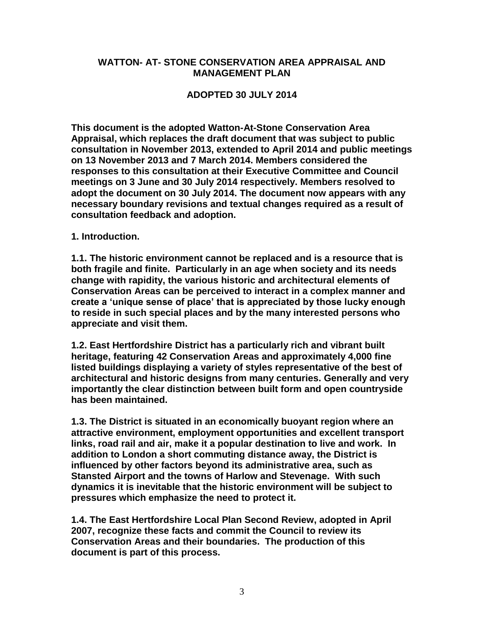#### **WATTON- AT- STONE CONSERVATION AREA APPRAISAL AND MANAGEMENT PLAN**

#### **ADOPTED 30 JULY 2014**

**This document is the adopted Watton-At-Stone Conservation Area Appraisal, which replaces the draft document that was subject to public consultation in November 2013, extended to April 2014 and public meetings on 13 November 2013 and 7 March 2014. Members considered the responses to this consultation at their Executive Committee and Council meetings on 3 June and 30 July 2014 respectively. Members resolved to adopt the document on 30 July 2014. The document now appears with any necessary boundary revisions and textual changes required as a result of consultation feedback and adoption.** 

**1. Introduction.**

**1.1. The historic environment cannot be replaced and is a resource that is both fragile and finite. Particularly in an age when society and its needs change with rapidity, the various historic and architectural elements of Conservation Areas can be perceived to interact in a complex manner and create a 'unique sense of place' that is appreciated by those lucky enough to reside in such special places and by the many interested persons who appreciate and visit them.** 

**1.2. East Hertfordshire District has a particularly rich and vibrant built heritage, featuring 42 Conservation Areas and approximately 4,000 fine listed buildings displaying a variety of styles representative of the best of architectural and historic designs from many centuries. Generally and very importantly the clear distinction between built form and open countryside has been maintained.** 

**1.3. The District is situated in an economically buoyant region where an attractive environment, employment opportunities and excellent transport links, road rail and air, make it a popular destination to live and work. In addition to London a short commuting distance away, the District is influenced by other factors beyond its administrative area, such as Stansted Airport and the towns of Harlow and Stevenage. With such dynamics it is inevitable that the historic environment will be subject to pressures which emphasize the need to protect it.** 

**1.4. The East Hertfordshire Local Plan Second Review, adopted in April 2007, recognize these facts and commit the Council to review its Conservation Areas and their boundaries. The production of this document is part of this process.**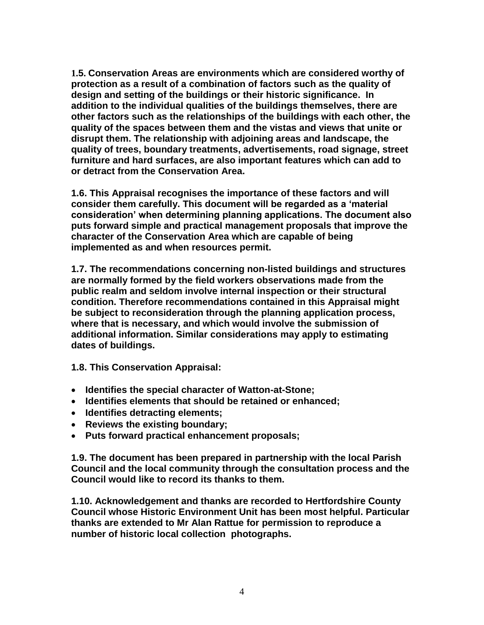**1.5. Conservation Areas are environments which are considered worthy of protection as a result of a combination of factors such as the quality of design and setting of the buildings or their historic significance. In addition to the individual qualities of the buildings themselves, there are other factors such as the relationships of the buildings with each other, the quality of the spaces between them and the vistas and views that unite or disrupt them. The relationship with adjoining areas and landscape, the quality of trees, boundary treatments, advertisements, road signage, street furniture and hard surfaces, are also important features which can add to or detract from the Conservation Area.** 

**1.6. This Appraisal recognises the importance of these factors and will consider them carefully. This document will be regarded as a 'material consideration' when determining planning applications. The document also puts forward simple and practical management proposals that improve the character of the Conservation Area which are capable of being implemented as and when resources permit.**

**1.7. The recommendations concerning non-listed buildings and structures are normally formed by the field workers observations made from the public realm and seldom involve internal inspection or their structural condition. Therefore recommendations contained in this Appraisal might be subject to reconsideration through the planning application process, where that is necessary, and which would involve the submission of additional information. Similar considerations may apply to estimating dates of buildings.**

**1.8. This Conservation Appraisal:**

- **Identifies the special character of Watton-at-Stone;**
- **Identifies elements that should be retained or enhanced;**
- **Identifies detracting elements;**
- **Reviews the existing boundary;**
- **Puts forward practical enhancement proposals;**

**1.9. The document has been prepared in partnership with the local Parish Council and the local community through the consultation process and the Council would like to record its thanks to them.**

**1.10. Acknowledgement and thanks are recorded to Hertfordshire County Council whose Historic Environment Unit has been most helpful. Particular thanks are extended to Mr Alan Rattue for permission to reproduce a number of historic local collection photographs.**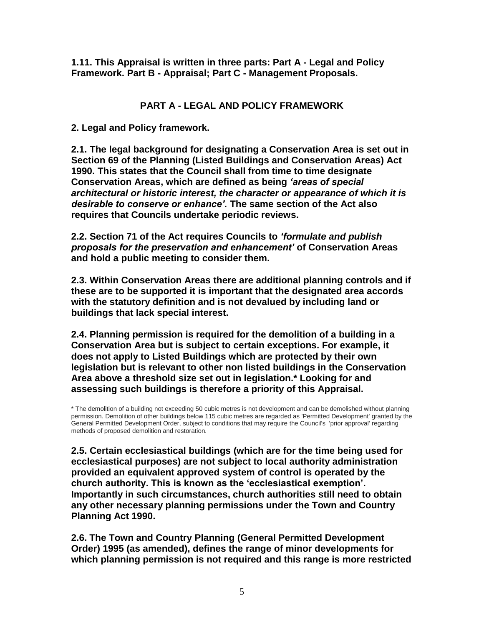**1.11. This Appraisal is written in three parts: Part A - Legal and Policy Framework. Part B - Appraisal; Part C - Management Proposals.**

## **PART A - LEGAL AND POLICY FRAMEWORK**

**2. Legal and Policy framework.** 

**2.1. The legal background for designating a Conservation Area is set out in Section 69 of the Planning (Listed Buildings and Conservation Areas) Act 1990. This states that the Council shall from time to time designate Conservation Areas, which are defined as being** *'areas of special architectural or historic interest, the character or appearance of which it is desirable to conserve or enhance'.* **The same section of the Act also requires that Councils undertake periodic reviews.** 

**2.2. Section 71 of the Act requires Councils to** *'formulate and publish proposals for the preservation and enhancement'* **of Conservation Areas and hold a public meeting to consider them.** 

**2.3. Within Conservation Areas there are additional planning controls and if these are to be supported it is important that the designated area accords with the statutory definition and is not devalued by including land or buildings that lack special interest.** 

**2.4. Planning permission is required for the demolition of a building in a Conservation Area but is subject to certain exceptions. For example, it does not apply to Listed Buildings which are protected by their own legislation but is relevant to other non listed buildings in the Conservation Area above a threshold size set out in legislation.\* Looking for and assessing such buildings is therefore a priority of this Appraisal.**

\* The demolition of a building not exceeding 50 cubic metres is not development and can be demolished without planning permission. Demolition of other buildings below 115 cubic metres are regarded as 'Permitted Development' granted by the General Permitted Development Order, subject to conditions that may require the Council's 'prior approval' regarding methods of proposed demolition and restoration.

**2.5. Certain ecclesiastical buildings (which are for the time being used for ecclesiastical purposes) are not subject to local authority administration provided an equivalent approved system of control is operated by the church authority. This is known as the 'ecclesiastical exemption'. Importantly in such circumstances, church authorities still need to obtain any other necessary planning permissions under the Town and Country Planning Act 1990.** 

**2.6. The Town and Country Planning (General Permitted Development Order) 1995 (as amended), defines the range of minor developments for which planning permission is not required and this range is more restricted**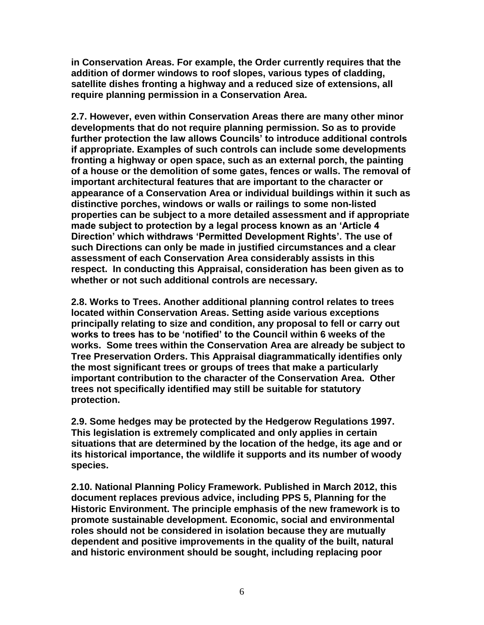**in Conservation Areas. For example, the Order currently requires that the addition of dormer windows to roof slopes, various types of cladding, satellite dishes fronting a highway and a reduced size of extensions, all require planning permission in a Conservation Area.**

**2.7. However, even within Conservation Areas there are many other minor developments that do not require planning permission. So as to provide further protection the law allows Councils' to introduce additional controls if appropriate. Examples of such controls can include some developments fronting a highway or open space, such as an external porch, the painting of a house or the demolition of some gates, fences or walls. The removal of important architectural features that are important to the character or appearance of a Conservation Area or individual buildings within it such as distinctive porches, windows or walls or railings to some non-listed properties can be subject to a more detailed assessment and if appropriate made subject to protection by a legal process known as an 'Article 4 Direction' which withdraws 'Permitted Development Rights'. The use of such Directions can only be made in justified circumstances and a clear assessment of each Conservation Area considerably assists in this respect. In conducting this Appraisal, consideration has been given as to whether or not such additional controls are necessary.** 

**2.8. Works to Trees. Another additional planning control relates to trees located within Conservation Areas. Setting aside various exceptions principally relating to size and condition, any proposal to fell or carry out works to trees has to be 'notified' to the Council within 6 weeks of the works. Some trees within the Conservation Area are already be subject to Tree Preservation Orders. This Appraisal diagrammatically identifies only the most significant trees or groups of trees that make a particularly important contribution to the character of the Conservation Area. Other trees not specifically identified may still be suitable for statutory protection.**

**2.9. Some hedges may be protected by the Hedgerow Regulations 1997. This legislation is extremely complicated and only applies in certain situations that are determined by the location of the hedge, its age and or its historical importance, the wildlife it supports and its number of woody species.**

**2.10. National Planning Policy Framework. Published in March 2012, this document replaces previous advice, including PPS 5, Planning for the Historic Environment. The principle emphasis of the new framework is to promote sustainable development. Economic, social and environmental roles should not be considered in isolation because they are mutually dependent and positive improvements in the quality of the built, natural and historic environment should be sought, including replacing poor**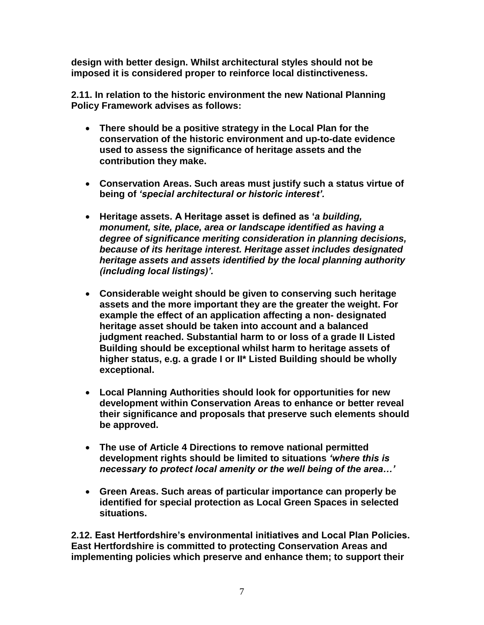**design with better design. Whilst architectural styles should not be imposed it is considered proper to reinforce local distinctiveness.** 

**2.11. In relation to the historic environment the new National Planning Policy Framework advises as follows:** 

- **There should be a positive strategy in the Local Plan for the conservation of the historic environment and up-to-date evidence used to assess the significance of heritage assets and the contribution they make.**
- **Conservation Areas. Such areas must justify such a status virtue of being of** *'special architectural or historic interest'.*
- **Heritage assets. A Heritage asset is defined as '***a building, monument, site, place, area or landscape identified as having a degree of significance meriting consideration in planning decisions, because of its heritage interest. Heritage asset includes designated heritage assets and assets identified by the local planning authority (including local listings)'.*
- **Considerable weight should be given to conserving such heritage assets and the more important they are the greater the weight. For example the effect of an application affecting a non- designated heritage asset should be taken into account and a balanced judgment reached. Substantial harm to or loss of a grade II Listed Building should be exceptional whilst harm to heritage assets of higher status, e.g. a grade I or II\* Listed Building should be wholly exceptional.**
- **Local Planning Authorities should look for opportunities for new development within Conservation Areas to enhance or better reveal their significance and proposals that preserve such elements should be approved.**
- **The use of Article 4 Directions to remove national permitted development rights should be limited to situations** *'where this is necessary to protect local amenity or the well being of the area…'*
- **Green Areas. Such areas of particular importance can properly be identified for special protection as Local Green Spaces in selected situations.**

**2.12. East Hertfordshire's environmental initiatives and Local Plan Policies. East Hertfordshire is committed to protecting Conservation Areas and implementing policies which preserve and enhance them; to support their**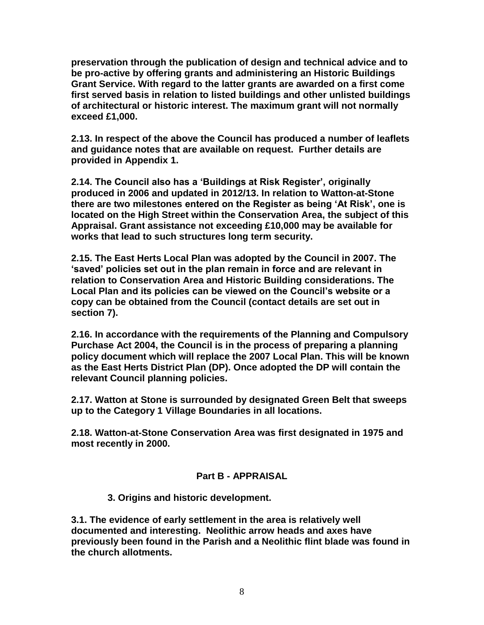**preservation through the publication of design and technical advice and to be pro-active by offering grants and administering an Historic Buildings Grant Service. With regard to the latter grants are awarded on a first come first served basis in relation to listed buildings and other unlisted buildings of architectural or historic interest. The maximum grant will not normally exceed £1,000.**

**2.13. In respect of the above the Council has produced a number of leaflets and guidance notes that are available on request. Further details are provided in Appendix 1.** 

**2.14. The Council also has a 'Buildings at Risk Register', originally produced in 2006 and updated in 2012/13. In relation to Watton-at-Stone there are two milestones entered on the Register as being 'At Risk', one is located on the High Street within the Conservation Area, the subject of this Appraisal. Grant assistance not exceeding £10,000 may be available for works that lead to such structures long term security.** 

**2.15. The East Herts Local Plan was adopted by the Council in 2007. The 'saved' policies set out in the plan remain in force and are relevant in relation to Conservation Area and Historic Building considerations. The Local Plan and its policies can be viewed on the Council's website or a copy can be obtained from the Council (contact details are set out in section 7).**

**2.16. In accordance with the requirements of the Planning and Compulsory Purchase Act 2004, the Council is in the process of preparing a planning policy document which will replace the 2007 Local Plan. This will be known as the East Herts District Plan (DP). Once adopted the DP will contain the relevant Council planning policies.**

**2.17. Watton at Stone is surrounded by designated Green Belt that sweeps up to the Category 1 Village Boundaries in all locations.** 

**2.18. Watton-at-Stone Conservation Area was first designated in 1975 and most recently in 2000.**

## **Part B - APPRAISAL**

 **3. Origins and historic development.** 

**3.1. The evidence of early settlement in the area is relatively well documented and interesting. Neolithic arrow heads and axes have previously been found in the Parish and a Neolithic flint blade was found in the church allotments.**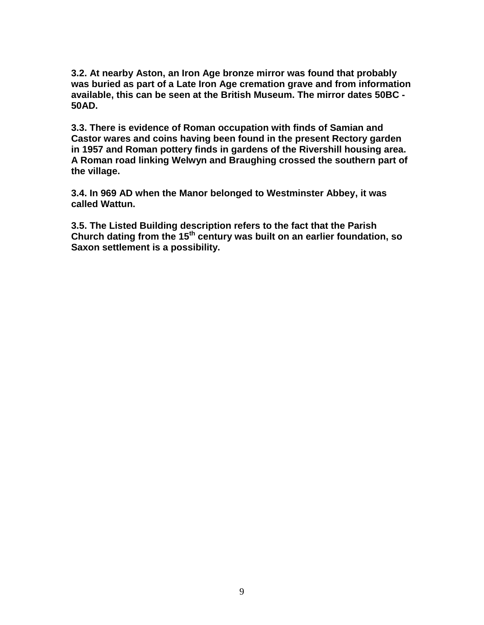**3.2. At nearby Aston, an Iron Age bronze mirror was found that probably was buried as part of a Late Iron Age cremation grave and from information available, this can be seen at the British Museum. The mirror dates 50BC - 50AD.** 

**3.3. There is evidence of Roman occupation with finds of Samian and Castor wares and coins having been found in the present Rectory garden in 1957 and Roman pottery finds in gardens of the Rivershill housing area. A Roman road linking Welwyn and Braughing crossed the southern part of the village.**

**3.4. In 969 AD when the Manor belonged to Westminster Abbey, it was called Wattun.**

**3.5. The Listed Building description refers to the fact that the Parish Church dating from the 15th century was built on an earlier foundation, so Saxon settlement is a possibility.**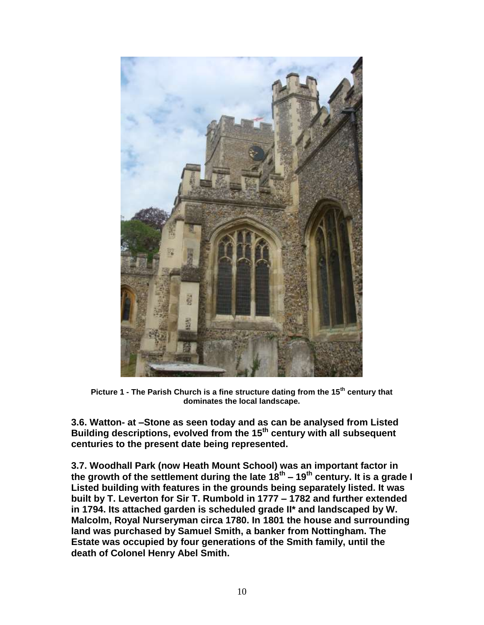

**Picture 1 - The Parish Church is a fine structure dating from the 15th century that dominates the local landscape.**

**3.6. Watton- at –Stone as seen today and as can be analysed from Listed Building descriptions, evolved from the 15th century with all subsequent centuries to the present date being represented.** 

**3.7. Woodhall Park (now Heath Mount School) was an important factor in the growth of the settlement during the late 18th – 19th century. It is a grade I Listed building with features in the grounds being separately listed. It was built by T. Leverton for Sir T. Rumbold in 1777 – 1782 and further extended in 1794. Its attached garden is scheduled grade II\* and landscaped by W. Malcolm, Royal Nurseryman circa 1780. In 1801 the house and surrounding land was purchased by Samuel Smith, a banker from Nottingham. The Estate was occupied by four generations of the Smith family, until the death of Colonel Henry Abel Smith.**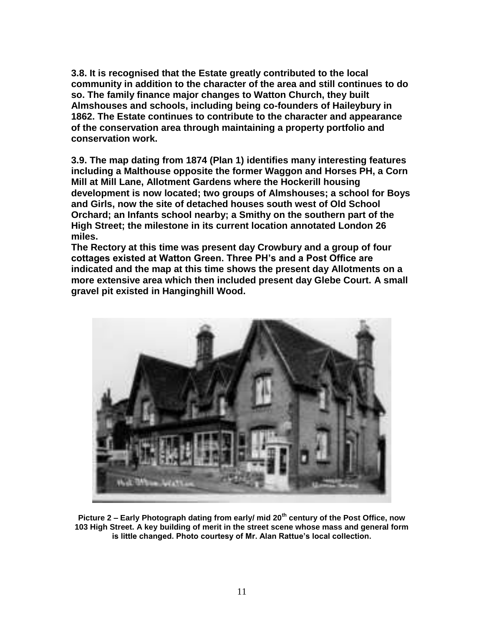**3.8. It is recognised that the Estate greatly contributed to the local community in addition to the character of the area and still continues to do so. The family finance major changes to Watton Church, they built Almshouses and schools, including being co-founders of Haileybury in 1862. The Estate continues to contribute to the character and appearance of the conservation area through maintaining a property portfolio and conservation work.** 

**3.9. The map dating from 1874 (Plan 1) identifies many interesting features including a Malthouse opposite the former Waggon and Horses PH, a Corn Mill at Mill Lane, Allotment Gardens where the Hockerill housing development is now located; two groups of Almshouses; a school for Boys and Girls, now the site of detached houses south west of Old School Orchard; an Infants school nearby; a Smithy on the southern part of the High Street; the milestone in its current location annotated London 26 miles.**

**The Rectory at this time was present day Crowbury and a group of four cottages existed at Watton Green. Three PH's and a Post Office are indicated and the map at this time shows the present day Allotments on a more extensive area which then included present day Glebe Court. A small gravel pit existed in Hanginghill Wood.** 



**Picture 2 – Early Photograph dating from early/ mid 20th century of the Post Office, now 103 High Street. A key building of merit in the street scene whose mass and general form is little changed. Photo courtesy of Mr. Alan Rattue's local collection.**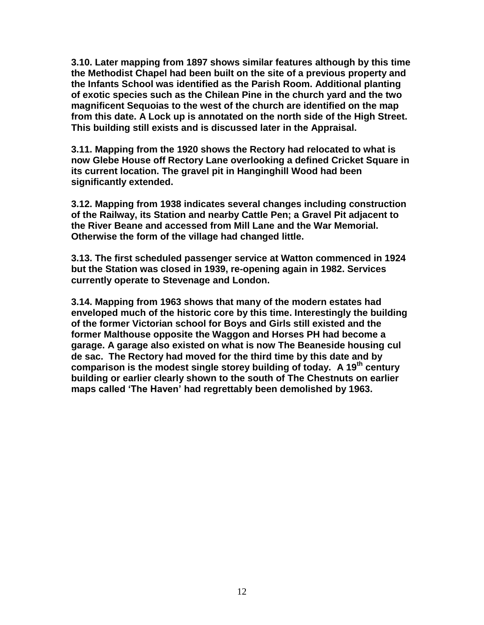**3.10. Later mapping from 1897 shows similar features although by this time the Methodist Chapel had been built on the site of a previous property and the Infants School was identified as the Parish Room. Additional planting of exotic species such as the Chilean Pine in the church yard and the two magnificent Sequoias to the west of the church are identified on the map from this date. A Lock up is annotated on the north side of the High Street. This building still exists and is discussed later in the Appraisal.** 

**3.11. Mapping from the 1920 shows the Rectory had relocated to what is now Glebe House off Rectory Lane overlooking a defined Cricket Square in its current location. The gravel pit in Hanginghill Wood had been significantly extended.**

**3.12. Mapping from 1938 indicates several changes including construction of the Railway, its Station and nearby Cattle Pen; a Gravel Pit adjacent to the River Beane and accessed from Mill Lane and the War Memorial. Otherwise the form of the village had changed little.** 

**3.13. The first scheduled passenger service at Watton commenced in 1924 but the Station was closed in 1939, re-opening again in 1982. Services currently operate to Stevenage and London.**

**3.14. Mapping from 1963 shows that many of the modern estates had enveloped much of the historic core by this time. Interestingly the building of the former Victorian school for Boys and Girls still existed and the former Malthouse opposite the Waggon and Horses PH had become a garage. A garage also existed on what is now The Beaneside housing cul de sac. The Rectory had moved for the third time by this date and by comparison is the modest single storey building of today. A 19th century building or earlier clearly shown to the south of The Chestnuts on earlier maps called 'The Haven' had regrettably been demolished by 1963.**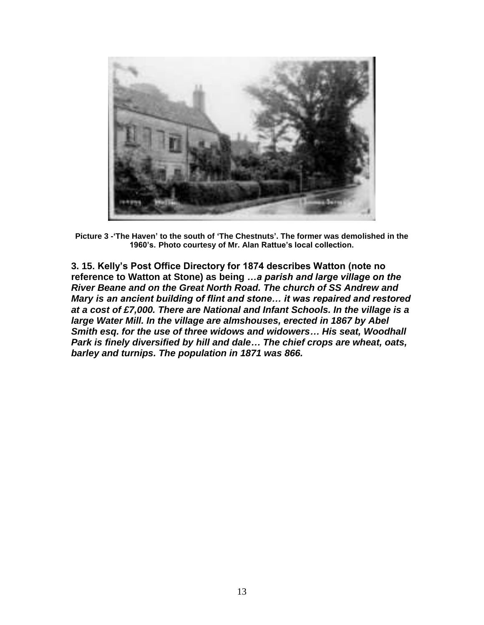

**Picture 3 -'The Haven' to the south of 'The Chestnuts'. The former was demolished in the 1960's. Photo courtesy of Mr. Alan Rattue's local collection.** 

**3. 15. Kelly's Post Office Directory for 1874 describes Watton (note no reference to Watton at Stone) as being** *…a parish and large village on the River Beane and on the Great North Road. The church of SS Andrew and Mary is an ancient building of flint and stone… it was repaired and restored at a cost of £7,000. There are National and Infant Schools. In the village is a large Water Mill. In the village are almshouses, erected in 1867 by Abel Smith esq. for the use of three widows and widowers… His seat, Woodhall Park is finely diversified by hill and dale… The chief crops are wheat, oats, barley and turnips. The population in 1871 was 866.*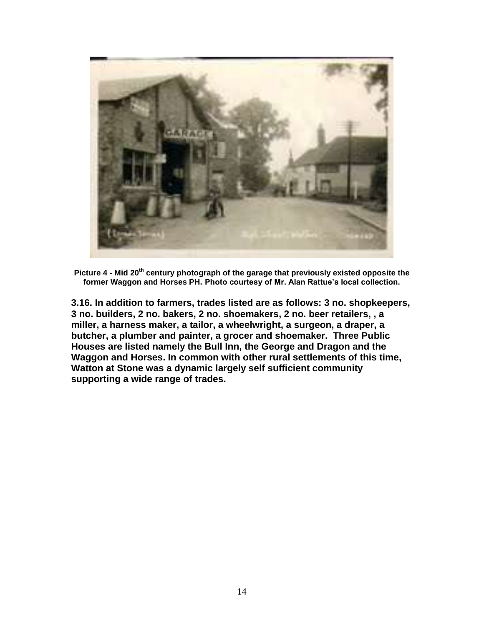

**Picture 4 - Mid 20th century photograph of the garage that previously existed opposite the former Waggon and Horses PH. Photo courtesy of Mr. Alan Rattue's local collection.** 

**3.16. In addition to farmers, trades listed are as follows: 3 no. shopkeepers, 3 no. builders, 2 no. bakers, 2 no. shoemakers, 2 no. beer retailers, , a miller, a harness maker, a tailor, a wheelwright, a surgeon, a draper, a butcher, a plumber and painter, a grocer and shoemaker. Three Public Houses are listed namely the Bull Inn, the George and Dragon and the Waggon and Horses. In common with other rural settlements of this time, Watton at Stone was a dynamic largely self sufficient community supporting a wide range of trades.**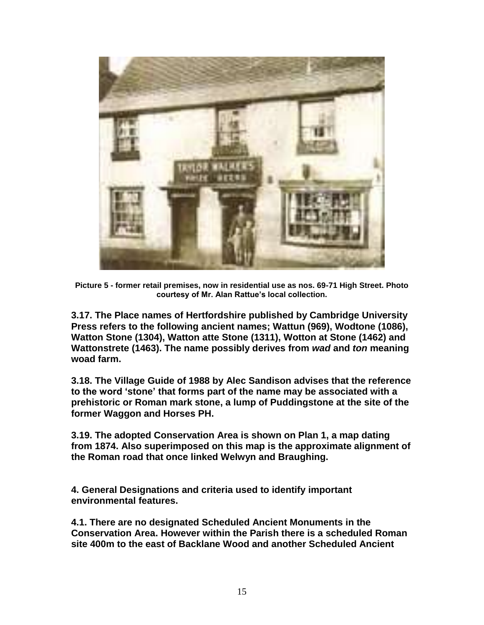

**Picture 5 - former retail premises, now in residential use as nos. 69-71 High Street. Photo courtesy of Mr. Alan Rattue's local collection.** 

**3.17. The Place names of Hertfordshire published by Cambridge University Press refers to the following ancient names; Wattun (969), Wodtone (1086), Watton Stone (1304), Watton atte Stone (1311), Wotton at Stone (1462) and Wattonstrete (1463). The name possibly derives from** *wad* **and** *ton* **meaning woad farm.**

**3.18. The Village Guide of 1988 by Alec Sandison advises that the reference to the word 'stone' that forms part of the name may be associated with a prehistoric or Roman mark stone, a lump of Puddingstone at the site of the former Waggon and Horses PH.** 

**3.19. The adopted Conservation Area is shown on Plan 1, a map dating from 1874. Also superimposed on this map is the approximate alignment of the Roman road that once linked Welwyn and Braughing.**

**4. General Designations and criteria used to identify important environmental features.** 

**4.1. There are no designated Scheduled Ancient Monuments in the Conservation Area. However within the Parish there is a scheduled Roman site 400m to the east of Backlane Wood and another Scheduled Ancient**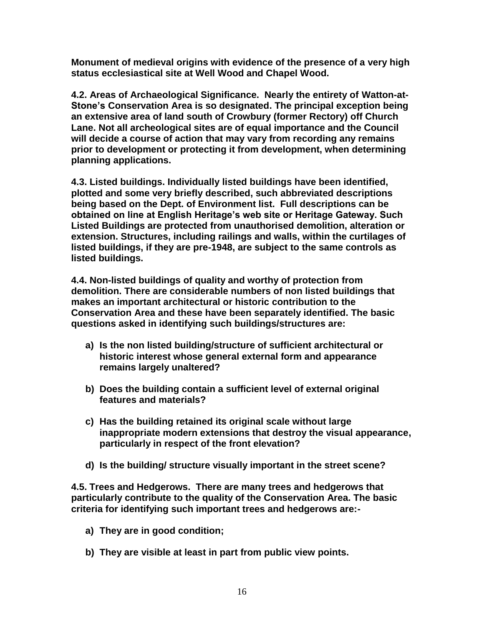**Monument of medieval origins with evidence of the presence of a very high status ecclesiastical site at Well Wood and Chapel Wood.**

**4.2. Areas of Archaeological Significance. Nearly the entirety of Watton-at-Stone's Conservation Area is so designated. The principal exception being an extensive area of land south of Crowbury (former Rectory) off Church Lane. Not all archeological sites are of equal importance and the Council will decide a course of action that may vary from recording any remains prior to development or protecting it from development, when determining planning applications.** 

**4.3. Listed buildings. Individually listed buildings have been identified, plotted and some very briefly described, such abbreviated descriptions being based on the Dept. of Environment list. Full descriptions can be obtained on line at English Heritage's web site or Heritage Gateway. Such Listed Buildings are protected from unauthorised demolition, alteration or extension. Structures, including railings and walls, within the curtilages of listed buildings, if they are pre-1948, are subject to the same controls as listed buildings.** 

**4.4. Non-listed buildings of quality and worthy of protection from demolition. There are considerable numbers of non listed buildings that makes an important architectural or historic contribution to the Conservation Area and these have been separately identified. The basic questions asked in identifying such buildings/structures are:** 

- **a) Is the non listed building/structure of sufficient architectural or historic interest whose general external form and appearance remains largely unaltered?**
- **b) Does the building contain a sufficient level of external original features and materials?**
- **c) Has the building retained its original scale without large inappropriate modern extensions that destroy the visual appearance, particularly in respect of the front elevation?**
- **d) Is the building/ structure visually important in the street scene?**

**4.5. Trees and Hedgerows. There are many trees and hedgerows that particularly contribute to the quality of the Conservation Area. The basic criteria for identifying such important trees and hedgerows are:-**

- **a) They are in good condition;**
- **b) They are visible at least in part from public view points.**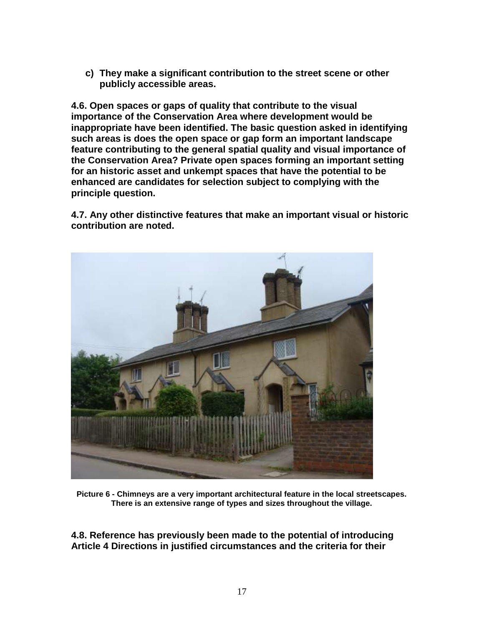**c) They make a significant contribution to the street scene or other publicly accessible areas.**

**4.6. Open spaces or gaps of quality that contribute to the visual importance of the Conservation Area where development would be inappropriate have been identified. The basic question asked in identifying such areas is does the open space or gap form an important landscape feature contributing to the general spatial quality and visual importance of the Conservation Area? Private open spaces forming an important setting for an historic asset and unkempt spaces that have the potential to be enhanced are candidates for selection subject to complying with the principle question.**

**4.7. Any other distinctive features that make an important visual or historic contribution are noted.** 



**Picture 6 - Chimneys are a very important architectural feature in the local streetscapes. There is an extensive range of types and sizes throughout the village.**

**4.8. Reference has previously been made to the potential of introducing Article 4 Directions in justified circumstances and the criteria for their**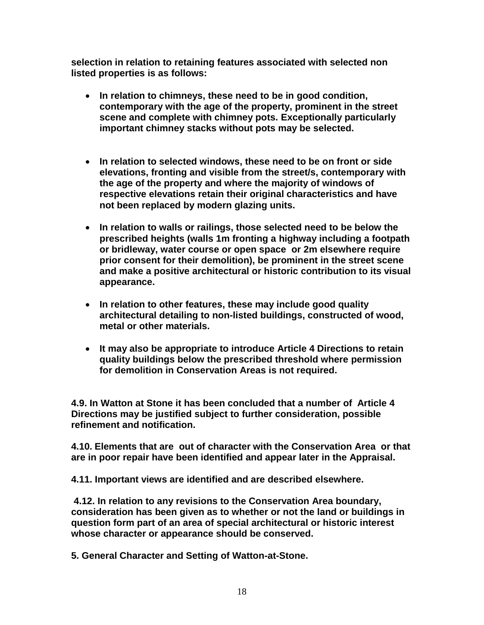**selection in relation to retaining features associated with selected non listed properties is as follows:** 

- **In relation to chimneys, these need to be in good condition, contemporary with the age of the property, prominent in the street scene and complete with chimney pots. Exceptionally particularly important chimney stacks without pots may be selected.**
- **In relation to selected windows, these need to be on front or side elevations, fronting and visible from the street/s, contemporary with the age of the property and where the majority of windows of respective elevations retain their original characteristics and have not been replaced by modern glazing units.**
- **In relation to walls or railings, those selected need to be below the prescribed heights (walls 1m fronting a highway including a footpath or bridleway, water course or open space or 2m elsewhere require prior consent for their demolition), be prominent in the street scene and make a positive architectural or historic contribution to its visual appearance.**
- **In relation to other features, these may include good quality architectural detailing to non-listed buildings, constructed of wood, metal or other materials.**
- **It may also be appropriate to introduce Article 4 Directions to retain quality buildings below the prescribed threshold where permission for demolition in Conservation Areas is not required.**

**4.9. In Watton at Stone it has been concluded that a number of Article 4 Directions may be justified subject to further consideration, possible refinement and notification.**

**4.10. Elements that are out of character with the Conservation Area or that are in poor repair have been identified and appear later in the Appraisal.**

**4.11. Important views are identified and are described elsewhere.** 

**4.12. In relation to any revisions to the Conservation Area boundary, consideration has been given as to whether or not the land or buildings in question form part of an area of special architectural or historic interest whose character or appearance should be conserved.** 

**5. General Character and Setting of Watton-at-Stone.**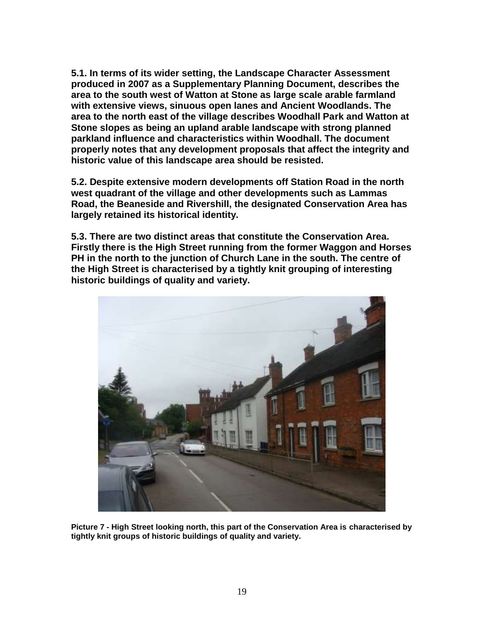**5.1. In terms of its wider setting, the Landscape Character Assessment produced in 2007 as a Supplementary Planning Document, describes the area to the south west of Watton at Stone as large scale arable farmland with extensive views, sinuous open lanes and Ancient Woodlands. The area to the north east of the village describes Woodhall Park and Watton at Stone slopes as being an upland arable landscape with strong planned parkland influence and characteristics within Woodhall. The document properly notes that any development proposals that affect the integrity and historic value of this landscape area should be resisted.** 

**5.2. Despite extensive modern developments off Station Road in the north west quadrant of the village and other developments such as Lammas Road, the Beaneside and Rivershill, the designated Conservation Area has largely retained its historical identity.** 

**5.3. There are two distinct areas that constitute the Conservation Area. Firstly there is the High Street running from the former Waggon and Horses PH in the north to the junction of Church Lane in the south. The centre of the High Street is characterised by a tightly knit grouping of interesting historic buildings of quality and variety.**



**Picture 7 - High Street looking north, this part of the Conservation Area is characterised by tightly knit groups of historic buildings of quality and variety.**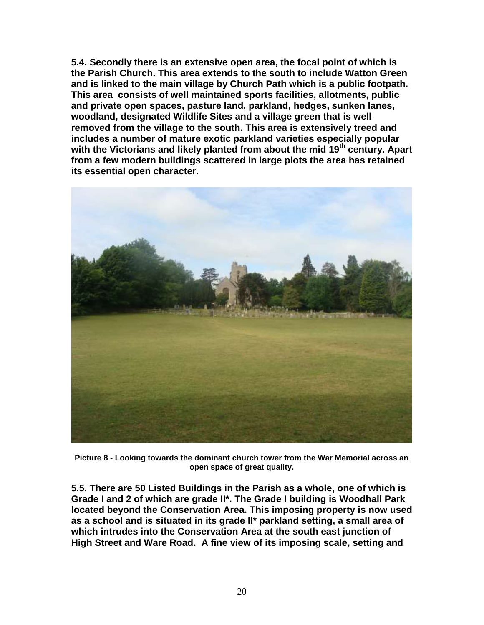**5.4. Secondly there is an extensive open area, the focal point of which is the Parish Church. This area extends to the south to include Watton Green and is linked to the main village by Church Path which is a public footpath. This area consists of well maintained sports facilities, allotments, public and private open spaces, pasture land, parkland, hedges, sunken lanes, woodland, designated Wildlife Sites and a village green that is well removed from the village to the south. This area is extensively treed and includes a number of mature exotic parkland varieties especially popular with the Victorians and likely planted from about the mid 19th century. Apart from a few modern buildings scattered in large plots the area has retained its essential open character.**



**Picture 8 - Looking towards the dominant church tower from the War Memorial across an open space of great quality.** 

**5.5. There are 50 Listed Buildings in the Parish as a whole, one of which is Grade I and 2 of which are grade II\*. The Grade I building is Woodhall Park located beyond the Conservation Area. This imposing property is now used as a school and is situated in its grade II\* parkland setting, a small area of which intrudes into the Conservation Area at the south east junction of High Street and Ware Road. A fine view of its imposing scale, setting and**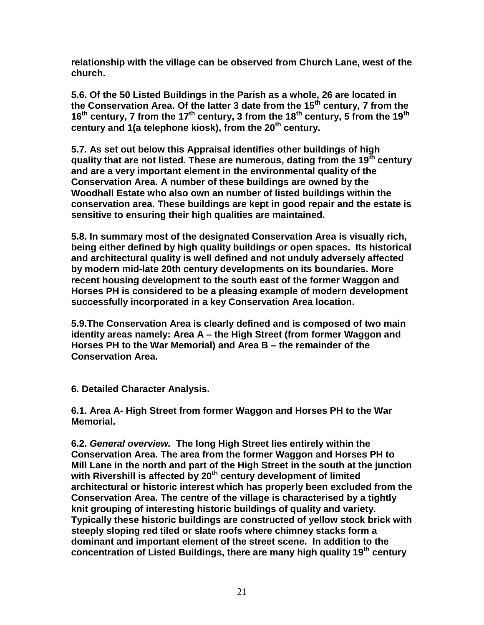**relationship with the village can be observed from Church Lane, west of the church.** 

**5.6. Of the 50 Listed Buildings in the Parish as a whole, 26 are located in the Conservation Area. Of the latter 3 date from the 15th century, 7 from the 16th century, 7 from the 17th century, 3 from the 18th century, 5 from the 19th century and 1(a telephone kiosk), from the 20th century.** 

**5.7. As set out below this Appraisal identifies other buildings of high quality that are not listed. These are numerous, dating from the 19th century and are a very important element in the environmental quality of the Conservation Area. A number of these buildings are owned by the Woodhall Estate who also own an number of listed buildings within the conservation area. These buildings are kept in good repair and the estate is sensitive to ensuring their high qualities are maintained.** 

**5.8. In summary most of the designated Conservation Area is visually rich, being either defined by high quality buildings or open spaces. Its historical and architectural quality is well defined and not unduly adversely affected by modern mid-late 20th century developments on its boundaries. More recent housing development to the south east of the former Waggon and Horses PH is considered to be a pleasing example of modern development successfully incorporated in a key Conservation Area location.** 

**5.9.The Conservation Area is clearly defined and is composed of two main identity areas namely: Area A – the High Street (from former Waggon and Horses PH to the War Memorial) and Area B – the remainder of the Conservation Area.**

**6. Detailed Character Analysis.**

**6.1. Area A- High Street from former Waggon and Horses PH to the War Memorial.** 

**6.2.** *General overview.* **The long High Street lies entirely within the Conservation Area. The area from the former Waggon and Horses PH to Mill Lane in the north and part of the High Street in the south at the junction with Rivershill is affected by 20th century development of limited architectural or historic interest which has properly been excluded from the Conservation Area. The centre of the village is characterised by a tightly knit grouping of interesting historic buildings of quality and variety. Typically these historic buildings are constructed of yellow stock brick with steeply sloping red tiled or slate roofs where chimney stacks form a dominant and important element of the street scene. In addition to the concentration of Listed Buildings, there are many high quality 19th century**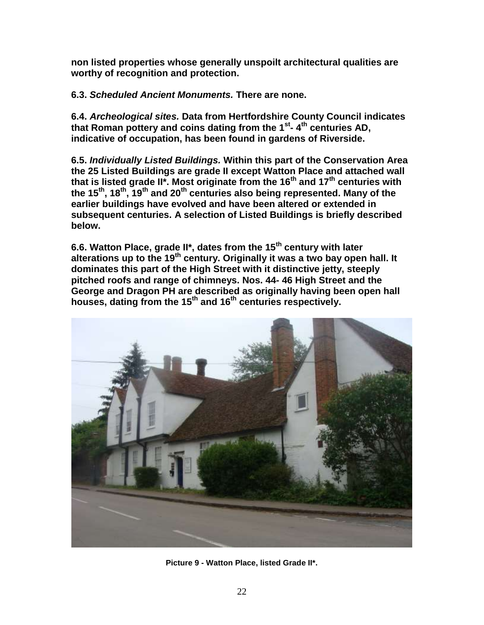**non listed properties whose generally unspoilt architectural qualities are worthy of recognition and protection.**

**6.3.** *Scheduled Ancient Monuments.* **There are none.** 

**6.4.** *Archeological sites.* **Data from Hertfordshire County Council indicates that Roman pottery and coins dating from the 1st - 4 th centuries AD, indicative of occupation, has been found in gardens of Riverside.** 

**6.5.** *Individually Listed Buildings.* **Within this part of the Conservation Area the 25 Listed Buildings are grade II except Watton Place and attached wall that is listed grade II\*. Most originate from the 16th and 17th centuries with the 15th, 18th, 19th and 20th centuries also being represented. Many of the earlier buildings have evolved and have been altered or extended in subsequent centuries. A selection of Listed Buildings is briefly described below.**

**6.6. Watton Place, grade II\*, dates from the 15th century with later alterations up to the 19th century. Originally it was a two bay open hall. It dominates this part of the High Street with it distinctive jetty, steeply pitched roofs and range of chimneys. Nos. 44- 46 High Street and the George and Dragon PH are described as originally having been open hall houses, dating from the 15th and 16th centuries respectively.** 



**Picture 9 - Watton Place, listed Grade II\*.**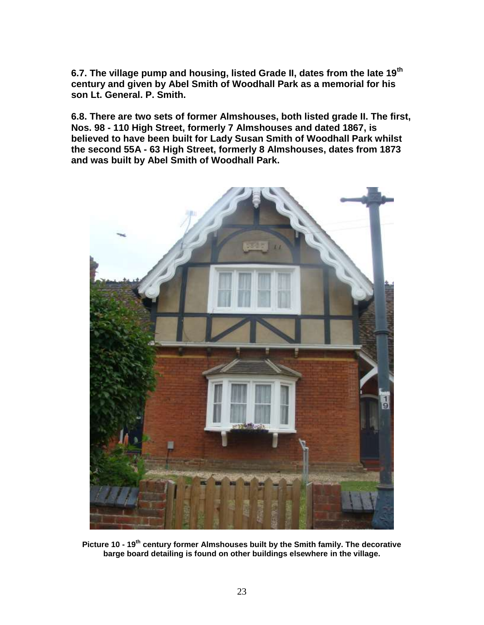**6.7. The village pump and housing, listed Grade II, dates from the late 19th century and given by Abel Smith of Woodhall Park as a memorial for his son Lt. General. P. Smith.** 

**6.8. There are two sets of former Almshouses, both listed grade II. The first, Nos. 98 - 110 High Street, formerly 7 Almshouses and dated 1867, is believed to have been built for Lady Susan Smith of Woodhall Park whilst the second 55A - 63 High Street, formerly 8 Almshouses, dates from 1873 and was built by Abel Smith of Woodhall Park.** 



**Picture 10 - 19th century former Almshouses built by the Smith family. The decorative barge board detailing is found on other buildings elsewhere in the village.**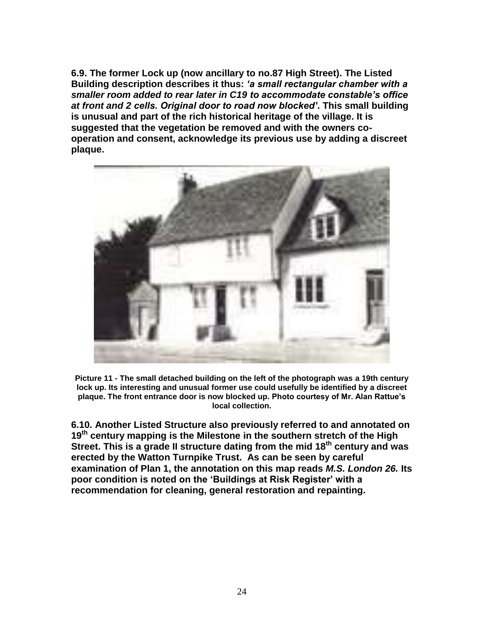**6.9. The former Lock up (now ancillary to no.87 High Street). The Listed Building description describes it thus:** *'a small rectangular chamber with a smaller room added to rear later in C19 to accommodate constable's office at front and 2 cells. Original door to road now blocked'***. This small building is unusual and part of the rich historical heritage of the village. It is suggested that the vegetation be removed and with the owners cooperation and consent, acknowledge its previous use by adding a discreet plaque.**



**Picture 11 - The small detached building on the left of the photograph was a 19th century lock up. Its interesting and unusual former use could usefully be identified by a discreet plaque. The front entrance door is now blocked up. Photo courtesy of Mr. Alan Rattue's local collection.** 

**6.10. Another Listed Structure also previously referred to and annotated on 19th century mapping is the Milestone in the southern stretch of the High Street. This is a grade II structure dating from the mid 18th century and was erected by the Watton Turnpike Trust. As can be seen by careful examination of Plan 1, the annotation on this map reads** *M.S. London 26.* **Its poor condition is noted on the 'Buildings at Risk Register' with a recommendation for cleaning, general restoration and repainting.**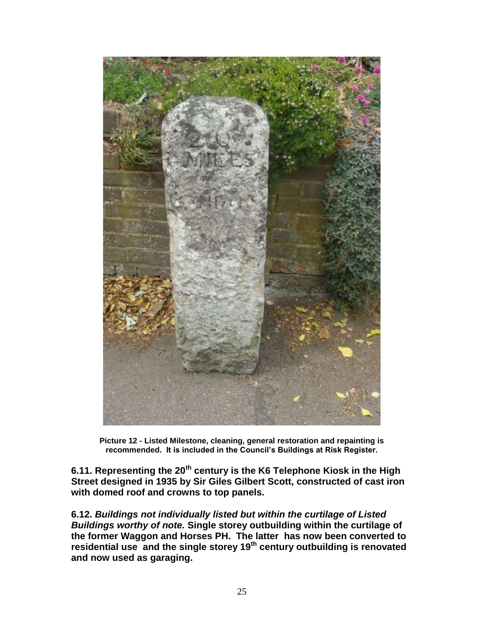

**Picture 12 - Listed Milestone, cleaning, general restoration and repainting is recommended. It is included in the Council's Buildings at Risk Register.** 

**6.11. Representing the 20th century is the K6 Telephone Kiosk in the High Street designed in 1935 by Sir Giles Gilbert Scott, constructed of cast iron with domed roof and crowns to top panels.** 

**6.12.** *Buildings not individually listed but within the curtilage of Listed Buildings worthy of note.* **Single storey outbuilding within the curtilage of the former Waggon and Horses PH. The latter has now been converted to residential use and the single storey 19th century outbuilding is renovated and now used as garaging.**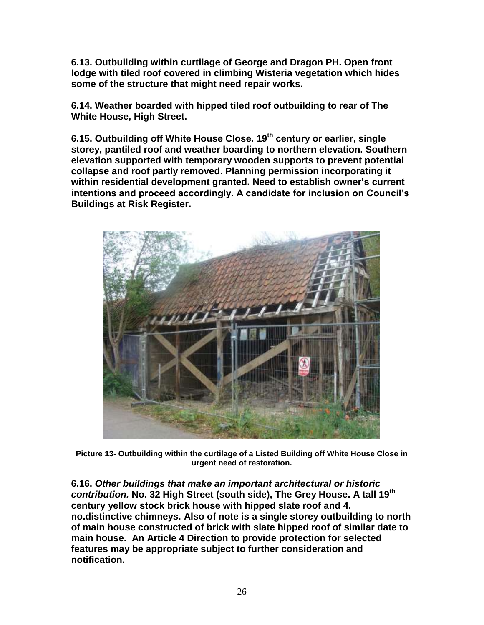**6.13. Outbuilding within curtilage of George and Dragon PH. Open front lodge with tiled roof covered in climbing Wisteria vegetation which hides some of the structure that might need repair works.**

**6.14. Weather boarded with hipped tiled roof outbuilding to rear of The White House, High Street.** 

**6.15. Outbuilding off White House Close. 19th century or earlier, single storey, pantiled roof and weather boarding to northern elevation. Southern elevation supported with temporary wooden supports to prevent potential collapse and roof partly removed. Planning permission incorporating it within residential development granted. Need to establish owner's current intentions and proceed accordingly. A candidate for inclusion on Council's Buildings at Risk Register.** 



**Picture 13- Outbuilding within the curtilage of a Listed Building off White House Close in urgent need of restoration.** 

**6.16.** *Other buildings that make an important architectural or historic contribution.* **No. 32 High Street (south side), The Grey House. A tall 19th century yellow stock brick house with hipped slate roof and 4. no.distinctive chimneys. Also of note is a single storey outbuilding to north of main house constructed of brick with slate hipped roof of similar date to main house. An Article 4 Direction to provide protection for selected features may be appropriate subject to further consideration and notification.**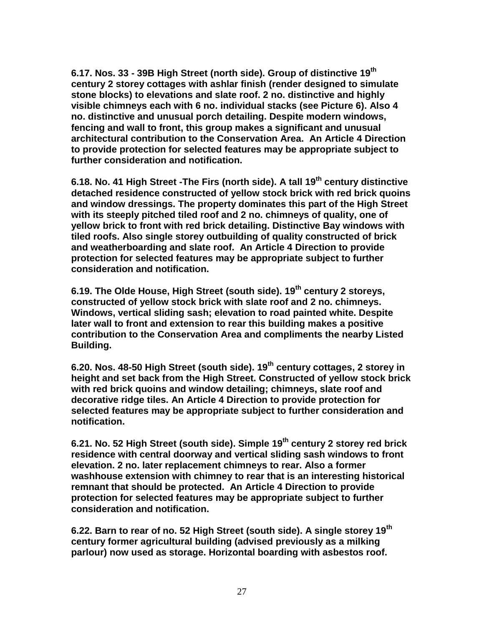**6.17. Nos. 33 - 39B High Street (north side). Group of distinctive 19th century 2 storey cottages with ashlar finish (render designed to simulate stone blocks) to elevations and slate roof. 2 no. distinctive and highly visible chimneys each with 6 no. individual stacks (see Picture 6). Also 4 no. distinctive and unusual porch detailing. Despite modern windows, fencing and wall to front, this group makes a significant and unusual architectural contribution to the Conservation Area. An Article 4 Direction to provide protection for selected features may be appropriate subject to further consideration and notification.**

**6.18. No. 41 High Street -The Firs (north side). A tall 19th century distinctive detached residence constructed of yellow stock brick with red brick quoins and window dressings. The property dominates this part of the High Street with its steeply pitched tiled roof and 2 no. chimneys of quality, one of yellow brick to front with red brick detailing. Distinctive Bay windows with tiled roofs. Also single storey outbuilding of quality constructed of brick and weatherboarding and slate roof. An Article 4 Direction to provide protection for selected features may be appropriate subject to further consideration and notification.**

**6.19. The Olde House, High Street (south side). 19th century 2 storeys, constructed of yellow stock brick with slate roof and 2 no. chimneys. Windows, vertical sliding sash; elevation to road painted white. Despite later wall to front and extension to rear this building makes a positive contribution to the Conservation Area and compliments the nearby Listed Building.** 

**6.20. Nos. 48-50 High Street (south side). 19th century cottages, 2 storey in height and set back from the High Street. Constructed of yellow stock brick with red brick quoins and window detailing; chimneys, slate roof and decorative ridge tiles. An Article 4 Direction to provide protection for selected features may be appropriate subject to further consideration and notification.**

**6.21. No. 52 High Street (south side). Simple 19th century 2 storey red brick residence with central doorway and vertical sliding sash windows to front elevation. 2 no. later replacement chimneys to rear. Also a former washhouse extension with chimney to rear that is an interesting historical remnant that should be protected. An Article 4 Direction to provide protection for selected features may be appropriate subject to further consideration and notification.**

**6.22. Barn to rear of no. 52 High Street (south side). A single storey 19th century former agricultural building (advised previously as a milking parlour) now used as storage. Horizontal boarding with asbestos roof.**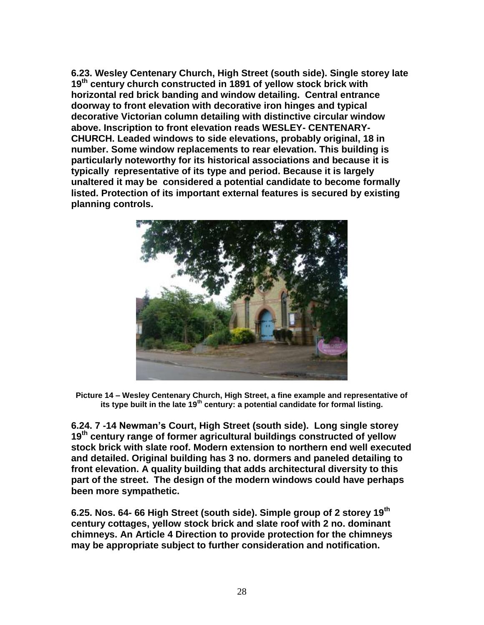**6.23. Wesley Centenary Church, High Street (south side). Single storey late 19th century church constructed in 1891 of yellow stock brick with horizontal red brick banding and window detailing. Central entrance doorway to front elevation with decorative iron hinges and typical decorative Victorian column detailing with distinctive circular window above. Inscription to front elevation reads WESLEY- CENTENARY-CHURCH. Leaded windows to side elevations, probably original, 18 in number. Some window replacements to rear elevation. This building is particularly noteworthy for its historical associations and because it is typically representative of its type and period. Because it is largely unaltered it may be considered a potential candidate to become formally listed. Protection of its important external features is secured by existing planning controls.**



**Picture 14 – Wesley Centenary Church, High Street, a fine example and representative of its type built in the late 19th century: a potential candidate for formal listing.** 

**6.24. 7 -14 Newman's Court, High Street (south side). Long single storey 19th century range of former agricultural buildings constructed of yellow stock brick with slate roof. Modern extension to northern end well executed and detailed. Original building has 3 no. dormers and paneled detailing to front elevation. A quality building that adds architectural diversity to this part of the street. The design of the modern windows could have perhaps been more sympathetic.**

**6.25. Nos. 64- 66 High Street (south side). Simple group of 2 storey 19th century cottages, yellow stock brick and slate roof with 2 no. dominant chimneys. An Article 4 Direction to provide protection for the chimneys may be appropriate subject to further consideration and notification.**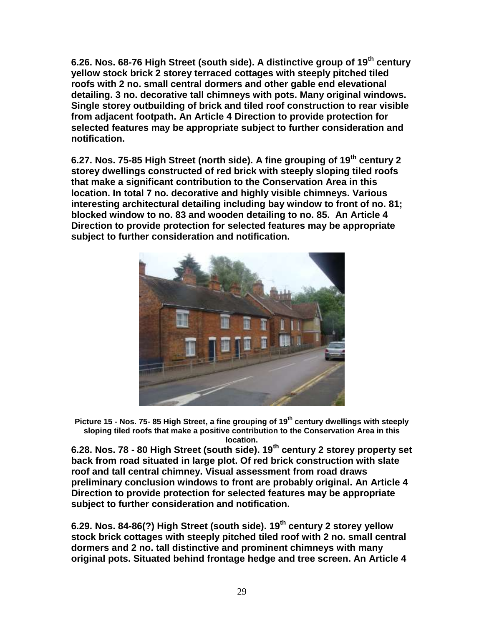**6.26. Nos. 68-76 High Street (south side). A distinctive group of 19th century yellow stock brick 2 storey terraced cottages with steeply pitched tiled roofs with 2 no. small central dormers and other gable end elevational detailing. 3 no. decorative tall chimneys with pots. Many original windows. Single storey outbuilding of brick and tiled roof construction to rear visible from adjacent footpath. An Article 4 Direction to provide protection for selected features may be appropriate subject to further consideration and notification.**

**6.27. Nos. 75-85 High Street (north side). A fine grouping of 19th century 2 storey dwellings constructed of red brick with steeply sloping tiled roofs that make a significant contribution to the Conservation Area in this location. In total 7 no. decorative and highly visible chimneys. Various interesting architectural detailing including bay window to front of no. 81; blocked window to no. 83 and wooden detailing to no. 85. An Article 4 Direction to provide protection for selected features may be appropriate subject to further consideration and notification.**



**Picture 15 - Nos. 75- 85 High Street, a fine grouping of 19th century dwellings with steeply sloping tiled roofs that make a positive contribution to the Conservation Area in this location.**

**6.28. Nos. 78 - 80 High Street (south side). 19th century 2 storey property set back from road situated in large plot. Of red brick construction with slate roof and tall central chimney. Visual assessment from road draws preliminary conclusion windows to front are probably original. An Article 4 Direction to provide protection for selected features may be appropriate subject to further consideration and notification.**

**6.29. Nos. 84-86(?) High Street (south side). 19th century 2 storey yellow stock brick cottages with steeply pitched tiled roof with 2 no. small central dormers and 2 no. tall distinctive and prominent chimneys with many original pots. Situated behind frontage hedge and tree screen. An Article 4**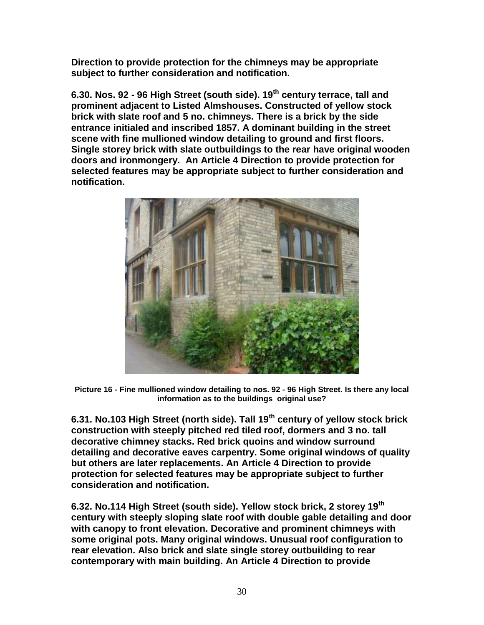**Direction to provide protection for the chimneys may be appropriate subject to further consideration and notification.**

**6.30. Nos. 92 - 96 High Street (south side). 19th century terrace, tall and prominent adjacent to Listed Almshouses. Constructed of yellow stock brick with slate roof and 5 no. chimneys. There is a brick by the side entrance initialed and inscribed 1857. A dominant building in the street scene with fine mullioned window detailing to ground and first floors. Single storey brick with slate outbuildings to the rear have original wooden doors and ironmongery. An Article 4 Direction to provide protection for selected features may be appropriate subject to further consideration and notification.**



**Picture 16 - Fine mullioned window detailing to nos. 92 - 96 High Street. Is there any local information as to the buildings original use?**

**6.31. No.103 High Street (north side). Tall 19th century of yellow stock brick construction with steeply pitched red tiled roof, dormers and 3 no. tall decorative chimney stacks. Red brick quoins and window surround detailing and decorative eaves carpentry. Some original windows of quality but others are later replacements. An Article 4 Direction to provide protection for selected features may be appropriate subject to further consideration and notification.**

**6.32. No.114 High Street (south side). Yellow stock brick, 2 storey 19th century with steeply sloping slate roof with double gable detailing and door with canopy to front elevation. Decorative and prominent chimneys with some original pots. Many original windows. Unusual roof configuration to rear elevation. Also brick and slate single storey outbuilding to rear contemporary with main building. An Article 4 Direction to provide**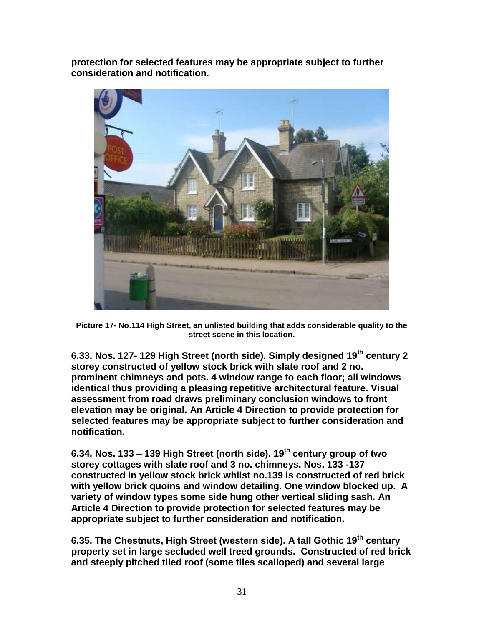**protection for selected features may be appropriate subject to further consideration and notification.**



**Picture 17- No.114 High Street, an unlisted building that adds considerable quality to the street scene in this location.** 

**6.33. Nos. 127- 129 High Street (north side). Simply designed 19th century 2 storey constructed of yellow stock brick with slate roof and 2 no. prominent chimneys and pots. 4 window range to each floor; all windows identical thus providing a pleasing repetitive architectural feature. Visual assessment from road draws preliminary conclusion windows to front elevation may be original. An Article 4 Direction to provide protection for selected features may be appropriate subject to further consideration and notification.**

**6.34. Nos. 133 – 139 High Street (north side). 19th century group of two storey cottages with slate roof and 3 no. chimneys. Nos. 133 -137 constructed in yellow stock brick whilst no.139 is constructed of red brick with yellow brick quoins and window detailing. One window blocked up. A variety of window types some side hung other vertical sliding sash. An Article 4 Direction to provide protection for selected features may be appropriate subject to further consideration and notification.**

**6.35. The Chestnuts, High Street (western side). A tall Gothic 19th century property set in large secluded well treed grounds. Constructed of red brick and steeply pitched tiled roof (some tiles scalloped) and several large**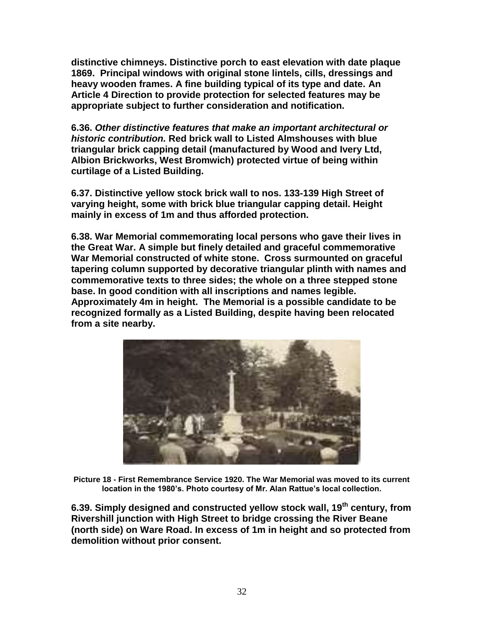**distinctive chimneys. Distinctive porch to east elevation with date plaque 1869. Principal windows with original stone lintels, cills, dressings and heavy wooden frames. A fine building typical of its type and date. An Article 4 Direction to provide protection for selected features may be appropriate subject to further consideration and notification.**

**6.36.** *Other distinctive features that make an important architectural or historic contribution.* **Red brick wall to Listed Almshouses with blue triangular brick capping detail (manufactured by Wood and Ivery Ltd, Albion Brickworks, West Bromwich) protected virtue of being within curtilage of a Listed Building.**

**6.37. Distinctive yellow stock brick wall to nos. 133-139 High Street of varying height, some with brick blue triangular capping detail. Height mainly in excess of 1m and thus afforded protection.** 

**6.38. War Memorial commemorating local persons who gave their lives in the Great War. A simple but finely detailed and graceful commemorative War Memorial constructed of white stone. Cross surmounted on graceful tapering column supported by decorative triangular plinth with names and commemorative texts to three sides; the whole on a three stepped stone base. In good condition with all inscriptions and names legible. Approximately 4m in height. The Memorial is a possible candidate to be recognized formally as a Listed Building, despite having been relocated from a site nearby.** 



**Picture 18 - First Remembrance Service 1920. The War Memorial was moved to its current location in the 1980's. Photo courtesy of Mr. Alan Rattue's local collection.** 

**6.39. Simply designed and constructed yellow stock wall, 19th century, from Rivershill junction with High Street to bridge crossing the River Beane (north side) on Ware Road. In excess of 1m in height and so protected from demolition without prior consent.**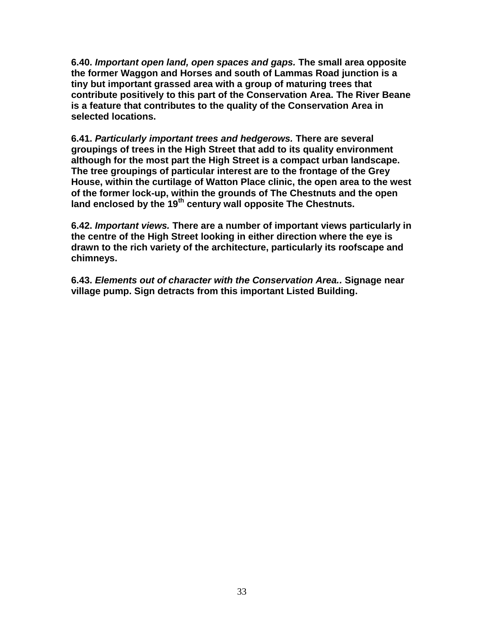**6.40.** *Important open land, open spaces and gaps.* **The small area opposite the former Waggon and Horses and south of Lammas Road junction is a tiny but important grassed area with a group of maturing trees that contribute positively to this part of the Conservation Area. The River Beane is a feature that contributes to the quality of the Conservation Area in selected locations.**

**6.41.** *Particularly important trees and hedgerows.* **There are several groupings of trees in the High Street that add to its quality environment although for the most part the High Street is a compact urban landscape. The tree groupings of particular interest are to the frontage of the Grey House, within the curtilage of Watton Place clinic, the open area to the west of the former lock-up, within the grounds of The Chestnuts and the open land enclosed by the 19th century wall opposite The Chestnuts.** 

**6.42.** *Important views.* **There are a number of important views particularly in the centre of the High Street looking in either direction where the eye is drawn to the rich variety of the architecture, particularly its roofscape and chimneys.** 

**6.43.** *Elements out of character with the Conservation Area..* **Signage near village pump. Sign detracts from this important Listed Building.**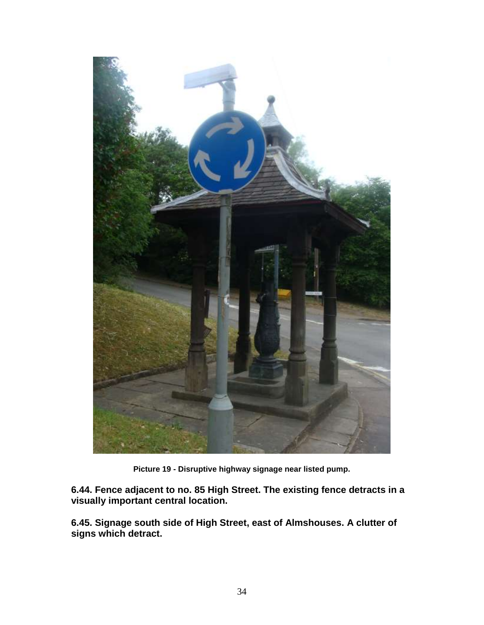

**Picture 19 - Disruptive highway signage near listed pump.** 

**6.44. Fence adjacent to no. 85 High Street. The existing fence detracts in a visually important central location.** 

**6.45. Signage south side of High Street, east of Almshouses. A clutter of signs which detract.**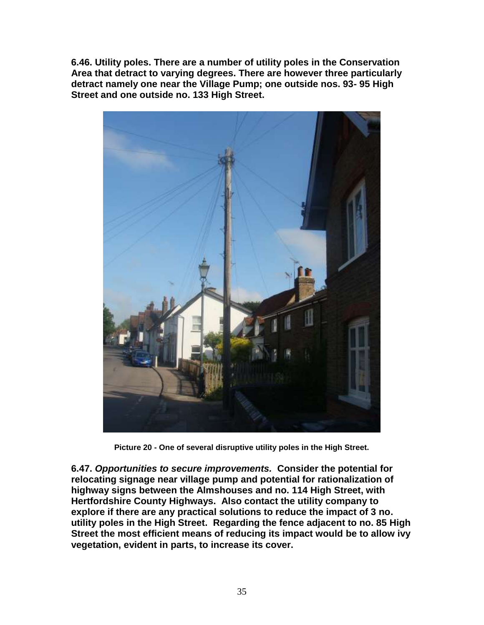**6.46. Utility poles. There are a number of utility poles in the Conservation Area that detract to varying degrees. There are however three particularly detract namely one near the Village Pump; one outside nos. 93- 95 High Street and one outside no. 133 High Street.** 



**Picture 20 - One of several disruptive utility poles in the High Street.**

**6.47.** *Opportunities to secure improvements.* **Consider the potential for relocating signage near village pump and potential for rationalization of highway signs between the Almshouses and no. 114 High Street, with Hertfordshire County Highways. Also contact the utility company to explore if there are any practical solutions to reduce the impact of 3 no. utility poles in the High Street. Regarding the fence adjacent to no. 85 High Street the most efficient means of reducing its impact would be to allow ivy vegetation, evident in parts, to increase its cover.**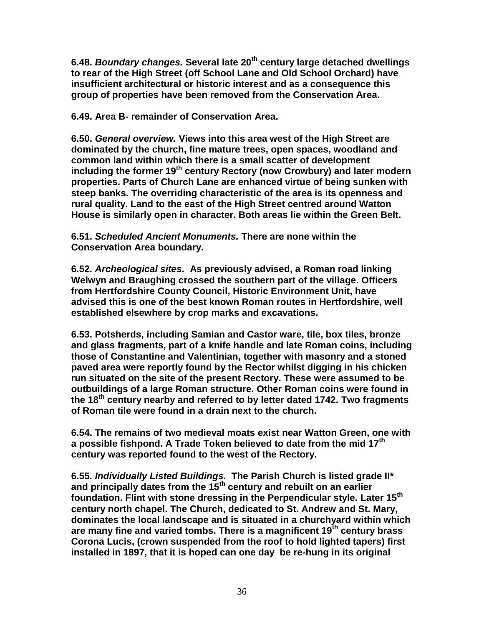**6.48.** *Boundary changes.* **Several late 20th century large detached dwellings to rear of the High Street (off School Lane and Old School Orchard) have insufficient architectural or historic interest and as a consequence this group of properties have been removed from the Conservation Area.**

**6.49. Area B- remainder of Conservation Area.** 

**6.50.** *General overview.* **Views into this area west of the High Street are dominated by the church, fine mature trees, open spaces, woodland and common land within which there is a small scatter of development including the former 19th century Rectory (now Crowbury) and later modern properties. Parts of Church Lane are enhanced virtue of being sunken with steep banks. The overriding characteristic of the area is its openness and rural quality. Land to the east of the High Street centred around Watton House is similarly open in character. Both areas lie within the Green Belt.** 

### **6.51.** *Scheduled Ancient Monuments.* **There are none within the Conservation Area boundary.**

**6.52.** *Archeological sites.* **As previously advised, a Roman road linking Welwyn and Braughing crossed the southern part of the village. Officers from Hertfordshire County Council, Historic Environment Unit, have advised this is one of the best known Roman routes in Hertfordshire, well established elsewhere by crop marks and excavations.** 

**6.53. Potsherds, including Samian and Castor ware, tile, box tiles, bronze and glass fragments, part of a knife handle and late Roman coins, including those of Constantine and Valentinian, together with masonry and a stoned paved area were reportly found by the Rector whilst digging in his chicken run situated on the site of the present Rectory. These were assumed to be outbuildings of a large Roman structure. Other Roman coins were found in the 18th century nearby and referred to by letter dated 1742. Two fragments of Roman tile were found in a drain next to the church.** 

**6.54. The remains of two medieval moats exist near Watton Green, one with a possible fishpond. A Trade Token believed to date from the mid 17th century was reported found to the west of the Rectory.** 

**6.55.** *Individually Listed Buildings.* **The Parish Church is listed grade II\* and principally dates from the 15th century and rebuilt on an earlier foundation. Flint with stone dressing in the Perpendicular style. Later 15th century north chapel. The Church, dedicated to St. Andrew and St. Mary, dominates the local landscape and is situated in a churchyard within which are many fine and varied tombs. There is a magnificent 19th century brass Corona Lucis, (crown suspended from the roof to hold lighted tapers) first installed in 1897, that it is hoped can one day be re-hung in its original**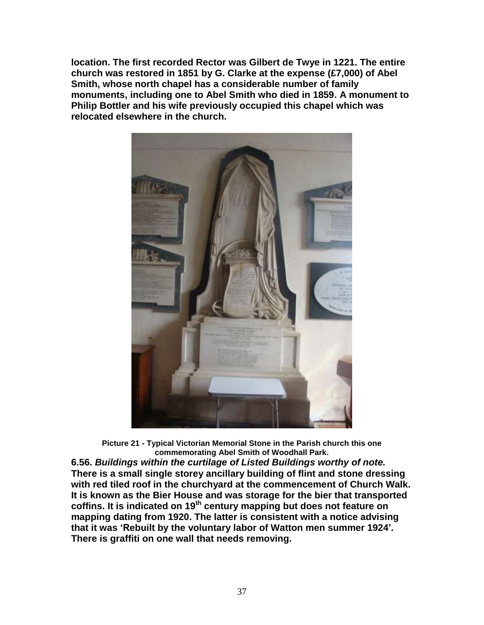**location. The first recorded Rector was Gilbert de Twye in 1221. The entire church was restored in 1851 by G. Clarke at the expense (£7,000) of Abel Smith, whose north chapel has a considerable number of family monuments, including one to Abel Smith who died in 1859. A monument to Philip Bottler and his wife previously occupied this chapel which was relocated elsewhere in the church.** 



**Picture 21 - Typical Victorian Memorial Stone in the Parish church this one commemorating Abel Smith of Woodhall Park.**

**6.56.** *Buildings within the curtilage of Listed Buildings worthy of note.*  **There is a small single storey ancillary building of flint and stone dressing with red tiled roof in the churchyard at the commencement of Church Walk. It is known as the Bier House and was storage for the bier that transported coffins. It is indicated on 19th century mapping but does not feature on mapping dating from 1920. The latter is consistent with a notice advising that it was 'Rebuilt by the voluntary labor of Watton men summer 1924'. There is graffiti on one wall that needs removing.**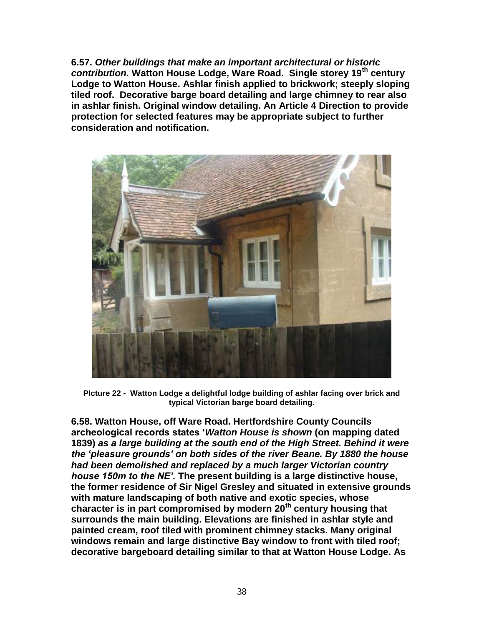**6.57.** *Other buildings that make an important architectural or historic contribution.* **Watton House Lodge, Ware Road. Single storey 19th century Lodge to Watton House. Ashlar finish applied to brickwork; steeply sloping tiled roof. Decorative barge board detailing and large chimney to rear also in ashlar finish. Original window detailing. An Article 4 Direction to provide protection for selected features may be appropriate subject to further consideration and notification.**



**PIcture 22 - Watton Lodge a delightful lodge building of ashlar facing over brick and typical Victorian barge board detailing.**

**6.58. Watton House, off Ware Road. Hertfordshire County Councils archeological records states '***Watton House is shown* **(on mapping dated 1839)** *as a large building at the south end of the High Street. Behind it were the 'pleasure grounds' on both sides of the river Beane. By 1880 the house had been demolished and replaced by a much larger Victorian country house 150m to the NE'.* **The present building is a large distinctive house, the former residence of Sir Nigel Gresley and situated in extensive grounds with mature landscaping of both native and exotic species, whose character is in part compromised by modern 20th century housing that surrounds the main building. Elevations are finished in ashlar style and painted cream, roof tiled with prominent chimney stacks. Many original windows remain and large distinctive Bay window to front with tiled roof; decorative bargeboard detailing similar to that at Watton House Lodge. As**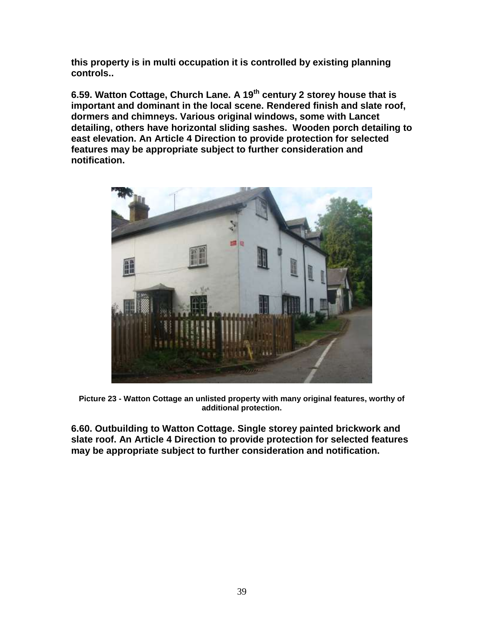**this property is in multi occupation it is controlled by existing planning controls..**

**6.59. Watton Cottage, Church Lane. A 19th century 2 storey house that is important and dominant in the local scene. Rendered finish and slate roof, dormers and chimneys. Various original windows, some with Lancet detailing, others have horizontal sliding sashes. Wooden porch detailing to east elevation. An Article 4 Direction to provide protection for selected features may be appropriate subject to further consideration and notification.**



**Picture 23 - Watton Cottage an unlisted property with many original features, worthy of additional protection.**

**6.60. Outbuilding to Watton Cottage. Single storey painted brickwork and slate roof. An Article 4 Direction to provide protection for selected features may be appropriate subject to further consideration and notification.**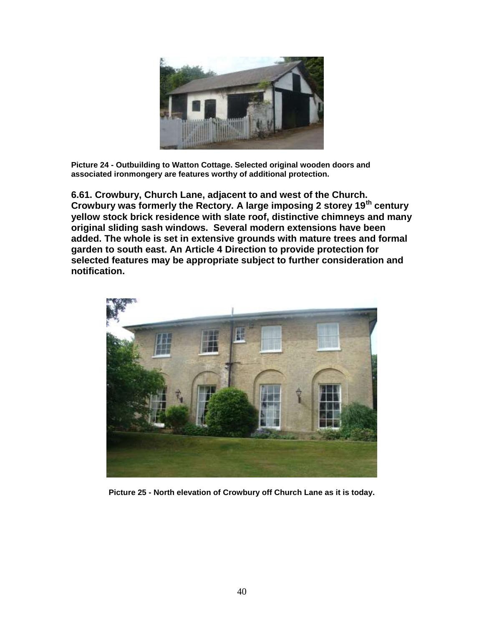

**Picture 24 - Outbuilding to Watton Cottage. Selected original wooden doors and associated ironmongery are features worthy of additional protection.** 

**6.61. Crowbury, Church Lane, adjacent to and west of the Church. Crowbury was formerly the Rectory. A large imposing 2 storey 19th century yellow stock brick residence with slate roof, distinctive chimneys and many original sliding sash windows. Several modern extensions have been added. The whole is set in extensive grounds with mature trees and formal garden to south east. An Article 4 Direction to provide protection for selected features may be appropriate subject to further consideration and notification.**



**Picture 25 - North elevation of Crowbury off Church Lane as it is today.**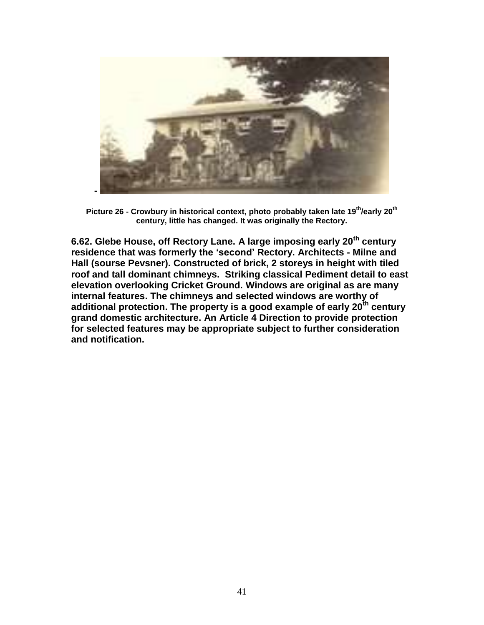

**Picture 26 - Crowbury in historical context, photo probably taken late 19th/early 20th century, little has changed. It was originally the Rectory.**

**6.62. Glebe House, off Rectory Lane. A large imposing early 20th century residence that was formerly the 'second' Rectory. Architects - Milne and Hall (sourse Pevsner). Constructed of brick, 2 storeys in height with tiled roof and tall dominant chimneys. Striking classical Pediment detail to east elevation overlooking Cricket Ground. Windows are original as are many internal features. The chimneys and selected windows are worthy of additional protection. The property is a good example of early 20th century grand domestic architecture. An Article 4 Direction to provide protection for selected features may be appropriate subject to further consideration and notification.**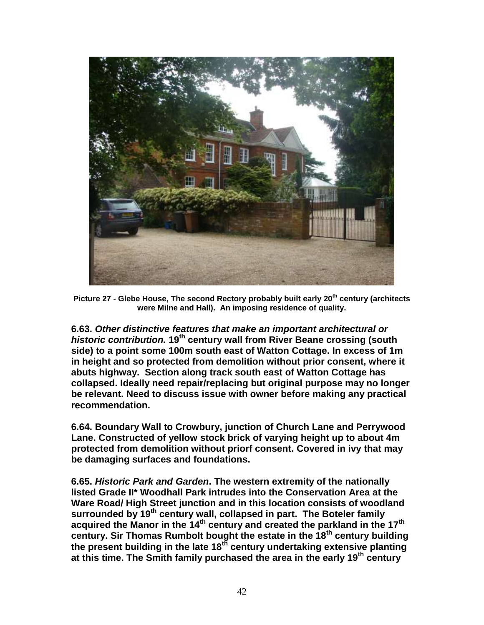

**Picture 27 - Glebe House, The second Rectory probably built early 20th century (architects were Milne and Hall). An imposing residence of quality.** 

**6.63.** *Other distinctive features that make an important architectural or historic contribution.* **19th century wall from River Beane crossing (south side) to a point some 100m south east of Watton Cottage. In excess of 1m in height and so protected from demolition without prior consent, where it abuts highway. Section along track south east of Watton Cottage has collapsed. Ideally need repair/replacing but original purpose may no longer be relevant. Need to discuss issue with owner before making any practical recommendation.** 

**6.64. Boundary Wall to Crowbury, junction of Church Lane and Perrywood Lane. Constructed of yellow stock brick of varying height up to about 4m protected from demolition without priorf consent. Covered in ivy that may be damaging surfaces and foundations.** 

**6.65.** *Historic Park and Garden***. The western extremity of the nationally listed Grade II\* Woodhall Park intrudes into the Conservation Area at the Ware Road/ High Street junction and in this location consists of woodland surrounded by 19th century wall, collapsed in part. The Boteler family acquired the Manor in the 14th century and created the parkland in the 17th century. Sir Thomas Rumbolt bought the estate in the 18th century building the present building in the late 18th century undertaking extensive planting at this time. The Smith family purchased the area in the early 19th century**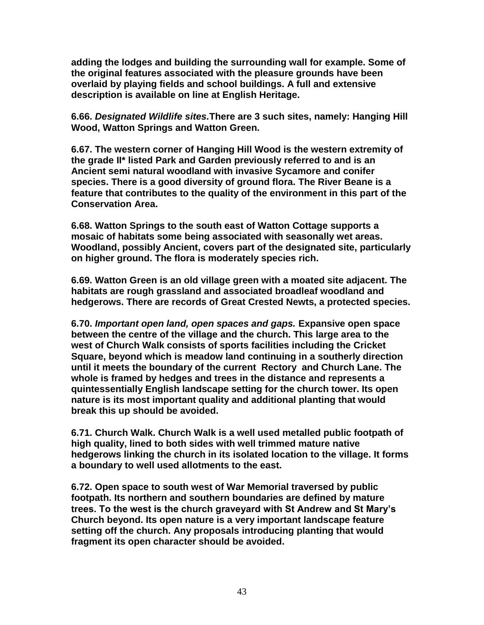**adding the lodges and building the surrounding wall for example. Some of the original features associated with the pleasure grounds have been overlaid by playing fields and school buildings. A full and extensive description is available on line at English Heritage.** 

**6.66.** *Designated Wildlife sites.***There are 3 such sites, namely: Hanging Hill Wood, Watton Springs and Watton Green.** 

**6.67. The western corner of Hanging Hill Wood is the western extremity of the grade II\* listed Park and Garden previously referred to and is an Ancient semi natural woodland with invasive Sycamore and conifer species. There is a good diversity of ground flora. The River Beane is a feature that contributes to the quality of the environment in this part of the Conservation Area.**

**6.68. Watton Springs to the south east of Watton Cottage supports a mosaic of habitats some being associated with seasonally wet areas. Woodland, possibly Ancient, covers part of the designated site, particularly on higher ground. The flora is moderately species rich.**

**6.69. Watton Green is an old village green with a moated site adjacent. The habitats are rough grassland and associated broadleaf woodland and hedgerows. There are records of Great Crested Newts, a protected species.** 

**6.70.** *Important open land, open spaces and gaps.* **Expansive open space between the centre of the village and the church. This large area to the west of Church Walk consists of sports facilities including the Cricket Square, beyond which is meadow land continuing in a southerly direction until it meets the boundary of the current Rectory and Church Lane. The whole is framed by hedges and trees in the distance and represents a quintessentially English landscape setting for the church tower. Its open nature is its most important quality and additional planting that would break this up should be avoided.** 

**6.71. Church Walk. Church Walk is a well used metalled public footpath of high quality, lined to both sides with well trimmed mature native hedgerows linking the church in its isolated location to the village. It forms a boundary to well used allotments to the east.** 

**6.72. Open space to south west of War Memorial traversed by public footpath. Its northern and southern boundaries are defined by mature trees. To the west is the church graveyard with St Andrew and St Mary's Church beyond. Its open nature is a very important landscape feature setting off the church. Any proposals introducing planting that would fragment its open character should be avoided.**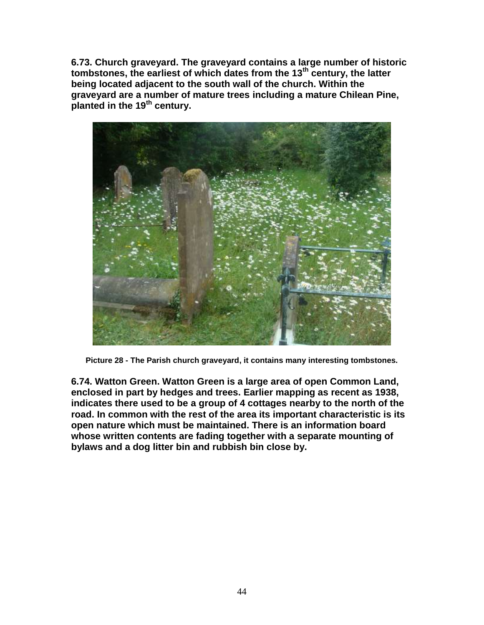**6.73. Church graveyard. The graveyard contains a large number of historic tombstones, the earliest of which dates from the 13th century, the latter being located adjacent to the south wall of the church. Within the graveyard are a number of mature trees including a mature Chilean Pine, planted in the 19th century.** 



**Picture 28 - The Parish church graveyard, it contains many interesting tombstones.**

**6.74. Watton Green. Watton Green is a large area of open Common Land, enclosed in part by hedges and trees. Earlier mapping as recent as 1938, indicates there used to be a group of 4 cottages nearby to the north of the road. In common with the rest of the area its important characteristic is its open nature which must be maintained. There is an information board whose written contents are fading together with a separate mounting of bylaws and a dog litter bin and rubbish bin close by.**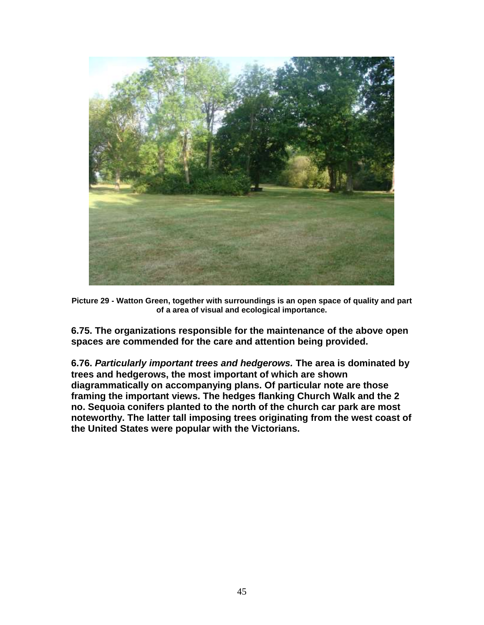

**Picture 29 - Watton Green, together with surroundings is an open space of quality and part of a area of visual and ecological importance.** 

**6.75. The organizations responsible for the maintenance of the above open spaces are commended for the care and attention being provided.**

**6.76.** *Particularly important trees and hedgerows.* **The area is dominated by trees and hedgerows, the most important of which are shown diagrammatically on accompanying plans. Of particular note are those framing the important views. The hedges flanking Church Walk and the 2 no. Sequoia conifers planted to the north of the church car park are most noteworthy. The latter tall imposing trees originating from the west coast of the United States were popular with the Victorians.**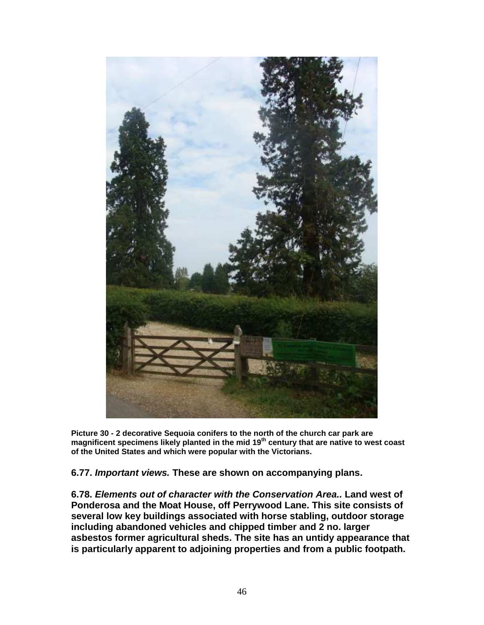

**Picture 30 - 2 decorative Sequoia conifers to the north of the church car park are magnificent specimens likely planted in the mid 19th century that are native to west coast of the United States and which were popular with the Victorians.**

**6.77.** *Important views.* **These are shown on accompanying plans.**

**6.78.** *Elements out of character with the Conservation Area..* **Land west of Ponderosa and the Moat House, off Perrywood Lane. This site consists of several low key buildings associated with horse stabling, outdoor storage including abandoned vehicles and chipped timber and 2 no. larger asbestos former agricultural sheds. The site has an untidy appearance that is particularly apparent to adjoining properties and from a public footpath.**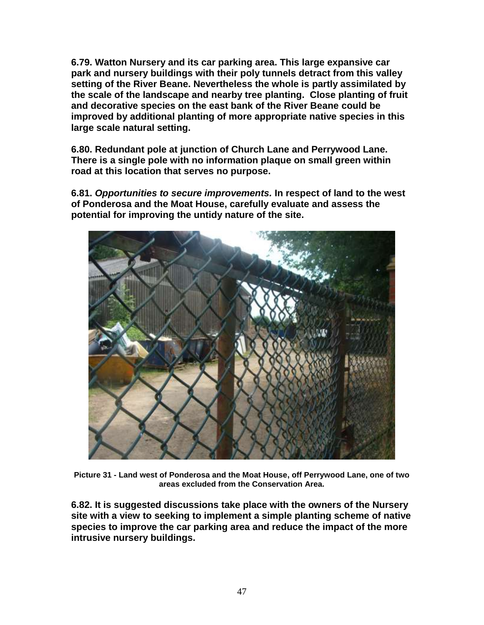**6.79. Watton Nursery and its car parking area. This large expansive car park and nursery buildings with their poly tunnels detract from this valley setting of the River Beane. Nevertheless the whole is partly assimilated by the scale of the landscape and nearby tree planting. Close planting of fruit and decorative species on the east bank of the River Beane could be improved by additional planting of more appropriate native species in this large scale natural setting.** 

**6.80. Redundant pole at junction of Church Lane and Perrywood Lane. There is a single pole with no information plaque on small green within road at this location that serves no purpose.** 

**6.81.** *Opportunities to secure improvements.* **In respect of land to the west of Ponderosa and the Moat House, carefully evaluate and assess the potential for improving the untidy nature of the site.**



**Picture 31 - Land west of Ponderosa and the Moat House, off Perrywood Lane, one of two areas excluded from the Conservation Area.**

**6.82. It is suggested discussions take place with the owners of the Nursery site with a view to seeking to implement a simple planting scheme of native species to improve the car parking area and reduce the impact of the more intrusive nursery buildings.**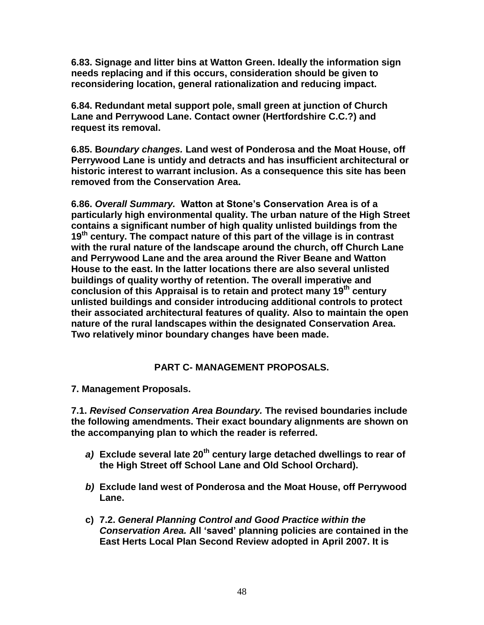**6.83. Signage and litter bins at Watton Green. Ideally the information sign needs replacing and if this occurs, consideration should be given to reconsidering location, general rationalization and reducing impact.** 

**6.84. Redundant metal support pole, small green at junction of Church Lane and Perrywood Lane. Contact owner (Hertfordshire C.C.?) and request its removal.** 

**6.85. B***oundary changes.* **Land west of Ponderosa and the Moat House, off Perrywood Lane is untidy and detracts and has insufficient architectural or historic interest to warrant inclusion. As a consequence this site has been removed from the Conservation Area.** 

**6.86.** *Overall Summary.* **Watton at Stone's Conservation Area is of a particularly high environmental quality. The urban nature of the High Street contains a significant number of high quality unlisted buildings from the 19th century. The compact nature of this part of the village is in contrast with the rural nature of the landscape around the church, off Church Lane and Perrywood Lane and the area around the River Beane and Watton House to the east. In the latter locations there are also several unlisted buildings of quality worthy of retention. The overall imperative and conclusion of this Appraisal is to retain and protect many 19th century unlisted buildings and consider introducing additional controls to protect their associated architectural features of quality. Also to maintain the open nature of the rural landscapes within the designated Conservation Area. Two relatively minor boundary changes have been made.** 

## **PART C- MANAGEMENT PROPOSALS.**

**7. Management Proposals.** 

**7.1.** *Revised Conservation Area Boundary.* **The revised boundaries include the following amendments. Their exact boundary alignments are shown on the accompanying plan to which the reader is referred.**

- *a)* **Exclude several late 20th century large detached dwellings to rear of the High Street off School Lane and Old School Orchard).**
- *b)* **Exclude land west of Ponderosa and the Moat House, off Perrywood Lane.**
- **c) 7.2.** *General Planning Control and Good Practice within the Conservation Area.* **All 'saved' planning policies are contained in the East Herts Local Plan Second Review adopted in April 2007. It is**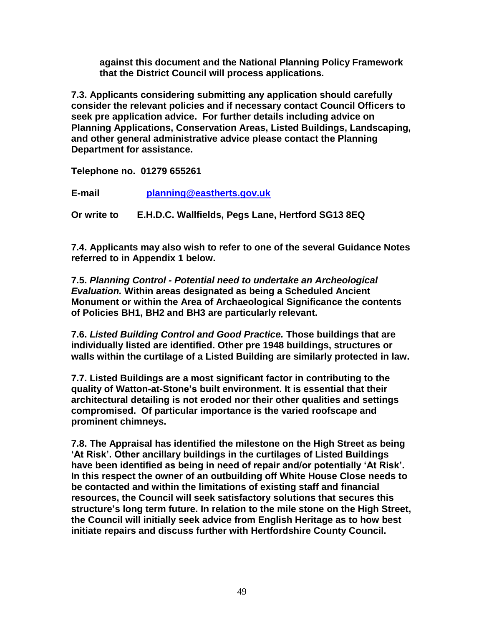**against this document and the National Planning Policy Framework that the District Council will process applications.** 

**7.3. Applicants considering submitting any application should carefully consider the relevant policies and if necessary contact Council Officers to seek pre application advice. For further details including advice on Planning Applications, Conservation Areas, Listed Buildings, Landscaping, and other general administrative advice please contact the Planning Department for assistance.** 

**Telephone no. 01279 655261** 

**E-mail planning@eastherts.gov.uk**

**Or write to E.H.D.C. Wallfields, Pegs Lane, Hertford SG13 8EQ**

**7.4. Applicants may also wish to refer to one of the several Guidance Notes referred to in Appendix 1 below.**

**7.5.** *Planning Control - Potential need to undertake an Archeological Evaluation.* **Within areas designated as being a Scheduled Ancient Monument or within the Area of Archaeological Significance the contents of Policies BH1, BH2 and BH3 are particularly relevant.** 

**7.6.** *Listed Building Control and Good Practice.* **Those buildings that are individually listed are identified. Other pre 1948 buildings, structures or walls within the curtilage of a Listed Building are similarly protected in law.**

**7.7. Listed Buildings are a most significant factor in contributing to the quality of Watton-at-Stone's built environment. It is essential that their architectural detailing is not eroded nor their other qualities and settings compromised. Of particular importance is the varied roofscape and prominent chimneys.** 

**7.8. The Appraisal has identified the milestone on the High Street as being 'At Risk'. Other ancillary buildings in the curtilages of Listed Buildings have been identified as being in need of repair and/or potentially 'At Risk'. In this respect the owner of an outbuilding off White House Close needs to be contacted and within the limitations of existing staff and financial resources, the Council will seek satisfactory solutions that secures this structure's long term future. In relation to the mile stone on the High Street, the Council will initially seek advice from English Heritage as to how best initiate repairs and discuss further with Hertfordshire County Council.**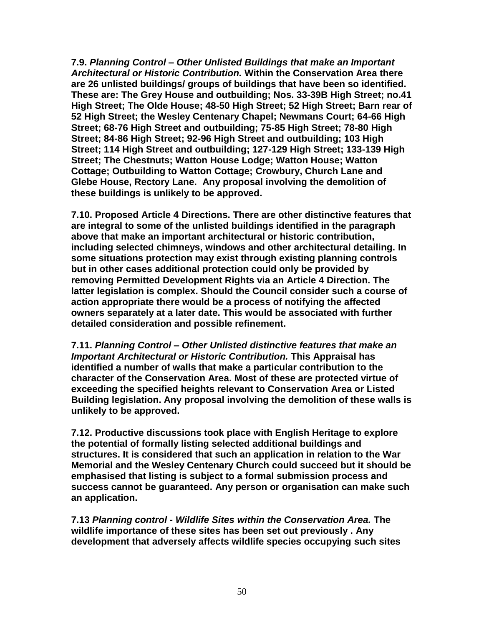**7.9.** *Planning Control – Other Unlisted Buildings that make an Important Architectural or Historic Contribution.* **Within the Conservation Area there are 26 unlisted buildings/ groups of buildings that have been so identified. These are: The Grey House and outbuilding; Nos. 33-39B High Street; no.41 High Street; The Olde House; 48-50 High Street; 52 High Street; Barn rear of 52 High Street; the Wesley Centenary Chapel; Newmans Court; 64-66 High Street; 68-76 High Street and outbuilding; 75-85 High Street; 78-80 High Street; 84-86 High Street; 92-96 High Street and outbuilding; 103 High Street; 114 High Street and outbuilding; 127-129 High Street; 133-139 High Street; The Chestnuts; Watton House Lodge; Watton House; Watton Cottage; Outbuilding to Watton Cottage; Crowbury, Church Lane and Glebe House, Rectory Lane. Any proposal involving the demolition of these buildings is unlikely to be approved.**

**7.10. Proposed Article 4 Directions. There are other distinctive features that are integral to some of the unlisted buildings identified in the paragraph above that make an important architectural or historic contribution, including selected chimneys, windows and other architectural detailing. In some situations protection may exist through existing planning controls but in other cases additional protection could only be provided by removing Permitted Development Rights via an Article 4 Direction. The latter legislation is complex. Should the Council consider such a course of action appropriate there would be a process of notifying the affected owners separately at a later date. This would be associated with further detailed consideration and possible refinement.** 

**7.11.** *Planning Control – Other Unlisted distinctive features that make an Important Architectural or Historic Contribution.* **This Appraisal has identified a number of walls that make a particular contribution to the character of the Conservation Area. Most of these are protected virtue of exceeding the specified heights relevant to Conservation Area or Listed Building legislation. Any proposal involving the demolition of these walls is unlikely to be approved.**

**7.12. Productive discussions took place with English Heritage to explore the potential of formally listing selected additional buildings and structures. It is considered that such an application in relation to the War Memorial and the Wesley Centenary Church could succeed but it should be emphasised that listing is subject to a formal submission process and success cannot be guaranteed. Any person or organisation can make such an application.**

**7.13** *Planning control - Wildlife Sites within the Conservation Area.* **The wildlife importance of these sites has been set out previously . Any development that adversely affects wildlife species occupying such sites**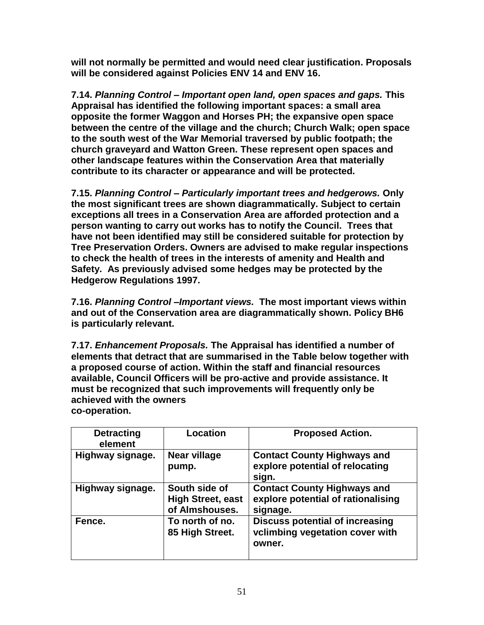**will not normally be permitted and would need clear justification. Proposals will be considered against Policies ENV 14 and ENV 16.**

**7.14.** *Planning Control – Important open land, open spaces and gaps.* **This Appraisal has identified the following important spaces: a small area opposite the former Waggon and Horses PH; the expansive open space between the centre of the village and the church; Church Walk; open space to the south west of the War Memorial traversed by public footpath; the church graveyard and Watton Green. These represent open spaces and other landscape features within the Conservation Area that materially contribute to its character or appearance and will be protected.**

**7.15.** *Planning Control – Particularly important trees and hedgerows.* **Only the most significant trees are shown diagrammatically. Subject to certain exceptions all trees in a Conservation Area are afforded protection and a person wanting to carry out works has to notify the Council. Trees that have not been identified may still be considered suitable for protection by Tree Preservation Orders. Owners are advised to make regular inspections to check the health of trees in the interests of amenity and Health and Safety. As previously advised some hedges may be protected by the Hedgerow Regulations 1997.** 

**7.16.** *Planning Control –Important views.* **The most important views within and out of the Conservation area are diagrammatically shown. Policy BH6 is particularly relevant.** 

**7.17.** *Enhancement Proposals.* **The Appraisal has identified a number of elements that detract that are summarised in the Table below together with a proposed course of action. Within the staff and financial resources available, Council Officers will be pro-active and provide assistance. It must be recognized that such improvements will frequently only be achieved with the owners co-operation.** 

| <b>Detracting</b><br>element | Location                                                    | <b>Proposed Action.</b>                                                              |
|------------------------------|-------------------------------------------------------------|--------------------------------------------------------------------------------------|
| Highway signage.             | Near village<br>pump.                                       | <b>Contact County Highways and</b><br>explore potential of relocating<br>sign.       |
| Highway signage.             | South side of<br><b>High Street, east</b><br>of Almshouses. | <b>Contact County Highways and</b><br>explore potential of rationalising<br>signage. |
| Fence.                       | To north of no.<br>85 High Street.                          | <b>Discuss potential of increasing</b><br>vclimbing vegetation cover with<br>owner.  |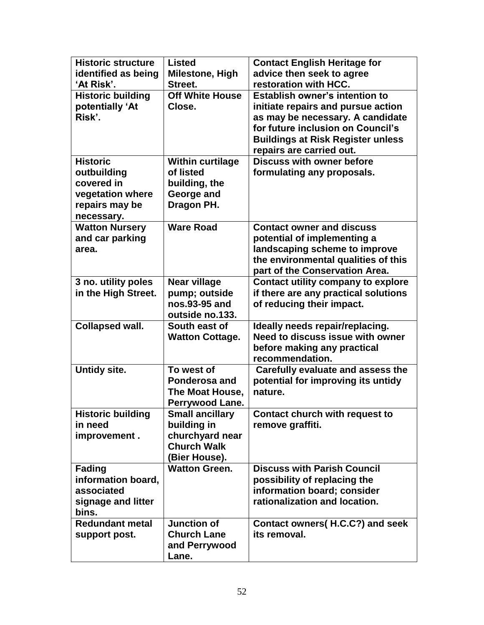| <b>Historic structure</b>           | <b>Listed</b>                         | <b>Contact English Heritage for</b>                                         |
|-------------------------------------|---------------------------------------|-----------------------------------------------------------------------------|
| identified as being                 | Milestone, High                       | advice then seek to agree                                                   |
| 'At Risk'.                          | Street.                               | restoration with HCC.                                                       |
| <b>Historic building</b>            | <b>Off White House</b>                | <b>Establish owner's intention to</b>                                       |
| potentially 'At<br>Risk'.           | Close.                                | initiate repairs and pursue action                                          |
|                                     |                                       | as may be necessary. A candidate<br>for future inclusion on Council's       |
|                                     |                                       | <b>Buildings at Risk Register unless</b>                                    |
|                                     |                                       | repairs are carried out.                                                    |
| <b>Historic</b>                     | <b>Within curtilage</b>               | <b>Discuss with owner before</b>                                            |
| outbuilding                         | of listed                             | formulating any proposals.                                                  |
| covered in                          | building, the                         |                                                                             |
| vegetation where                    | George and                            |                                                                             |
| repairs may be                      | Dragon PH.                            |                                                                             |
| necessary.                          |                                       |                                                                             |
| <b>Watton Nursery</b>               | <b>Ware Road</b>                      | <b>Contact owner and discuss</b>                                            |
| and car parking                     |                                       | potential of implementing a                                                 |
| area.                               |                                       | landscaping scheme to improve                                               |
|                                     |                                       | the environmental qualities of this                                         |
| 3 no. utility poles                 | <b>Near village</b>                   | part of the Conservation Area.<br><b>Contact utility company to explore</b> |
| in the High Street.                 | pump; outside                         | if there are any practical solutions                                        |
|                                     | nos.93-95 and                         | of reducing their impact.                                                   |
|                                     | outside no.133.                       |                                                                             |
| <b>Collapsed wall.</b>              | South east of                         | Ideally needs repair/replacing.                                             |
|                                     | <b>Watton Cottage.</b>                | Need to discuss issue with owner                                            |
|                                     |                                       | before making any practical                                                 |
|                                     |                                       | recommendation.                                                             |
| Untidy site.                        | To west of                            | Carefully evaluate and assess the                                           |
|                                     | Ponderosa and                         | potential for improving its untidy                                          |
|                                     | The Moat House,                       | nature.                                                                     |
|                                     | Perrywood Lane.                       |                                                                             |
| <b>Historic building</b><br>in need | <b>Small ancillary</b><br>building in | Contact church with request to                                              |
| improvement.                        | churchyard near                       | remove graffiti.                                                            |
|                                     | <b>Church Walk</b>                    |                                                                             |
|                                     | (Bier House).                         |                                                                             |
| <b>Fading</b>                       | <b>Watton Green.</b>                  | <b>Discuss with Parish Council</b>                                          |
| information board,                  |                                       | possibility of replacing the                                                |
| associated                          |                                       | information board; consider                                                 |
| signage and litter                  |                                       | rationalization and location.                                               |
| bins.                               |                                       |                                                                             |
| <b>Redundant metal</b>              | <b>Junction of</b>                    | Contact owners(H.C.C?) and seek                                             |
| support post.                       | <b>Church Lane</b>                    | its removal.                                                                |
|                                     | and Perrywood                         |                                                                             |
|                                     | Lane.                                 |                                                                             |